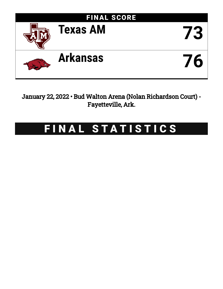

January 22, 2022 • Bud Walton Arena (Nolan Richardson Court) - Fayetteville, Ark.

# FINAL STATISTICS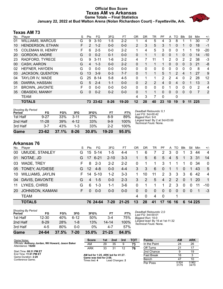### **Official Box Score Texas AM vs Arkansas Game Totals -- Final Statistics January 22, 2022 at Bud Walton Arena (Nolan Richardson Court) - Fayetteville, Ark.**



# **Texas AM 73**

| No. | Player                    | S  | Pts          | FG       | 3FG      | FT      | <b>OR</b>      | <b>DR</b>   | TR             | <b>PF</b>     | A        | то            | Blk          | Stl          | Min | $+/-$ |
|-----|---------------------------|----|--------------|----------|----------|---------|----------------|-------------|----------------|---------------|----------|---------------|--------------|--------------|-----|-------|
| 01  | <b>WILLIAMS, MARCUS</b>   | G  | 9            | $3 - 10$ | $1-5$    | $2 - 2$ |                | 4           | 5              | 4             | 3        | 8             |              |              | 30  | $-7$  |
| 10  | HENDERSON, ETHAN          | F. | 2            | $1 - 2$  | $0 - 0$  | $0-0$   | $\overline{2}$ | 3           | 5              | 3             |          | 0             |              | 0            | 18  | $-1$  |
| 15  | <b>COLEMAN III, HENRY</b> | F. | 6            | $2 - 5$  | $0 - 0$  | $2 - 2$ | 1              | 4           | 5              | 3             | $\Omega$ | 0             |              | 1            | 19  | $-20$ |
| 20  | <b>GORDON, ANDRE</b>      | G  | $\Omega$     | $0 - 2$  | $0 - 1$  | $0-0$   | 0              | 1           |                | 0             | 0        |               | $\mathbf{0}$ | 0            | 14  | $-10$ |
| 23  | RADFORD, TYRECE           | G  | 9            | $3 - 11$ | 1-6      | $2 - 2$ | 4              | 7           | 11             | 1             | 2        | 0             | 2            | 2            | 38  | $-3$  |
| 00  | CASH, AARON               | G  | 4            | $1 - 3$  | $0 - 0$  | $2 - 2$ | $\Omega$       | 1           |                |               | 0        | $\mathbf{0}$  | $\mathbf{0}$ | 3            | 21  | -8    |
| 02  | HEFNER, HAYDEN            | G  | $\Omega$     | $0 - 0$  | $0 - 0$  | $0 - 0$ | $\Omega$       | 0           | $\Omega$       | 0             | $\Omega$ | $\Omega$      | $\Omega$     | $\Omega$     | 8   | 4     |
| 03  | <b>JACKSON, QUENTON</b>   | G  | 13           | $3-9$    | $0 - 3$  | $7 - 7$ | 0              | 1           |                | 5.            |          | $\mathcal{P}$ | 4            |              | 27  | 9     |
| 04  | TAYLOR IV, WADE           | G  | 25           | $8 - 14$ | $5 - 8$  | $4 - 5$ | 0              | 1           |                | $\mathcal{P}$ | 2        | 4             | 0            | 2            | 28  | 12    |
| 05  | DIARRA, HASSAN            | G  | 5            | $2 - 4$  | $1 - 1$  | $0 - 0$ | 0              | 2           | $\overline{2}$ | 4             | 0        | 4             | $\Omega$     |              | 13  | 3     |
| 31  | <b>BROWN, JAVONTE</b>     | F  | 0            | $0 - 0$  | $0 - 0$  | $0 - 0$ | $\Omega$       | $\Omega$    | $\Omega$       | 0             |          | 0             | $\Omega$     | $\Omega$     | 2   | 4     |
| 35  | <b>OBASEKI, MANNY</b>     | G  | $\mathbf{0}$ | $0 - 2$  | $0 - 2$  | $0 - 0$ | $\Omega$       | $\mathbf 1$ |                | 0             | $\Omega$ | $\Omega$      | $\Omega$     | $\mathbf{0}$ | 7   | 2     |
|     | <b>TEAM</b>               |    |              |          |          |         | 4              | 3           |                | 0             |          | 0             |              |              |     |       |
|     | <b>TOTALS</b>             |    | 73           | 23-62    | $8 - 26$ | 19-20   | 12             | 28          | 40             | 23            | 10       | 19            | 9            | 11           | 225 |       |

| Game                                | 23-62     | 37.1% | $8 - 26$ | 30.8% | $19 - 20$ | 95.0% |
|-------------------------------------|-----------|-------|----------|-------|-----------|-------|
| 3rd Half                            | $3 - 7$   | 43%   | $1 - 3$  | 33%   | $2-2$     | 100%  |
| 2nd Half                            | $11 - 28$ | 39%   | $4 - 12$ | 33%   | $9-9$     | 100%  |
| 1st Half                            | $9 - 27$  | 33%   | $3 - 11$ | 27%   | 8-9       | 89%   |
| <b>Shooting By Period</b><br>Period | FG        | FG%   | 3FG      | 3FG%  | FT        | FT%   |

*Deadball Rebounds:* 0,1 *Last FG:* 3rd-00:42 *Biggest Run:* 9-0 *Largest lead:* By 2 at 3rd-03:00 *Technical Fouls:* None.

# **Arkansas 76**

| No.       | Player                  | S  | Pts             | FG       | 3FG      | FT        | OR       | DR          | TR       | PF                    | A             | TO | <b>B</b> lk | Stl      | Min       | $+/-$          |
|-----------|-------------------------|----|-----------------|----------|----------|-----------|----------|-------------|----------|-----------------------|---------------|----|-------------|----------|-----------|----------------|
| 00        | UMUDE, STANLEY          | G  | 15              | $5 - 14$ | 1-5      | $4 - 4$   | 1        | 6           | 7        | 2                     | 3             | 0  |             | 3        | 44        | $\overline{4}$ |
| 01        | NOTAE, JD               | G. | 17              | $6 - 21$ | $2 - 10$ | $3 - 3$   |          | 5           | 6        | 5                     | 4             | 5  |             | 3        | -31       | 14             |
| 03        | WADE, TREY              | F. | 8               | $2 - 3$  | $2 - 2$  | $2 - 2$   | 0        |             |          | 3                     | 1             |    |             | $\Omega$ | 34        | $\Omega$       |
|           | 05 TONEY, AU'DIESE      | G. | 12 <sup>2</sup> | $4 - 8$  | $0 - 0$  | $4 - 4$   | 3        | 3           | 6        | $\Omega$              | 1.            | 1  | $\Omega$    | 1        | 43        | 5              |
| 10        | <b>WILLIAMS, JAYLIN</b> | F. | 14              | $5 - 10$ | $1 - 2$  | $3-3$     | 1        | 10          | 11       | $\mathbf{2}^{\prime}$ | 3             | 3  | 3           | 6        | 42        | $\overline{4}$ |
| 04        | DAVIS, DAVONTE          | G  | 4               | $1 - 5$  | $0 - 0$  | $2 - 3$   | 3        | 2           | 5        | 4                     | 2             | 2  | $\Omega$    | 1        | <b>20</b> | $\mathbf{1}$   |
| 11        | LYKES, CHRIS            | G  | 6               | $1 - 3$  | 1-1      | $3-6$     | $\Omega$ |             |          | 1                     | $\mathcal{P}$ | 3  | $\Omega$    | $\Omega$ | 11        | $-10$          |
| <b>20</b> | <b>JOHNSON, KAMANI</b>  | F. | <sup>0</sup>    | $0 - 0$  | $0 - 0$  | $0-0$     | 0        | 0           | $\Omega$ | $\Omega$              | 0             | 0  | $\Omega$    | $\Omega$ |           | $-3$           |
|           | <b>TEAM</b>             |    |                 |          |          |           | 4        | $\mathbf 0$ | 4        | 0                     |               | 1  |             |          |           |                |
|           | <b>TOTALS</b>           |    |                 | 76 24-64 | $7 - 20$ | $21 - 25$ | 13       | 28          | 41       | 17                    | 16            | 16 | 6           | 14 2 2 5 |           |                |

| <b>Shooting By Period</b> |          |       |          |       |           |       |
|---------------------------|----------|-------|----------|-------|-----------|-------|
| Period                    | FG       | FG%   | 3FG      | 3FG%  | FТ        | FT%   |
| 1st Half                  | 12-30    | 40%   | հ-12     | 50%   | $3-4$     | 75%   |
| 2nd Half                  | $8 - 29$ | 28%   | 1-8      | 13%   | $14 - 14$ | 100%  |
| 3rd Half                  | 4-5      | 80%   | 0-0      | $0\%$ | 4-7       | 57%   |
| Game                      | 24-64    | 37.5% | $7 - 20$ | 35.0% | $21 - 25$ | 84.0% |

*Deadball Rebounds:* 2,0 *Last FG:* 3rd-00:01 *Biggest Run:* 10-0 *Largest lead:* By 16 at 1st-11:32 *Technical Fouls:* None.

| Game Notes:                                                                                 | <b>Score</b>                                                                           | 1st | 2nd             | 3rd | тот |
|---------------------------------------------------------------------------------------------|----------------------------------------------------------------------------------------|-----|-----------------|-----|-----|
| Officials: Anthony Jordan, Wil Howard, Jason Baker<br>Attendance: 19200                     | AM                                                                                     | 29  | 35              | 9   | 73  |
|                                                                                             | ARK                                                                                    | 33  | 31              | 12  | 76  |
| Start Time: 08:31 PM ET<br>End Time: 11:01 PM ET<br>Game Duration: 2:29<br>Conference Game; | AM led for 1:25. ARK led for 41:27.<br>Game was tied for 2:08.<br>Times tied: <b>4</b> |     | Lead Changes: 2 |     |     |

| <b>Points</b>     | AМ             | <b>ARK</b>     |
|-------------------|----------------|----------------|
| In the Paint      | 24             | 26             |
| Off Turns         | 21             | 17             |
| 2nd Chance        | g              | 19             |
| <b>Fast Break</b> | 16             | 3              |
| Bench             | 47             | 10             |
| Per Poss          | 0.924<br>31/79 | 0.962<br>34/79 |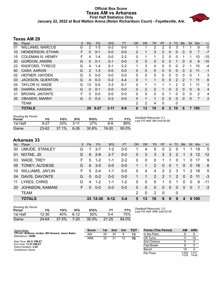### **Official Box Score Texas AM vs Arkansas First Half Statistics Only January 22, 2022 at Bud Walton Arena (Nolan Richardson Court) - Fayetteville, Ark.**



# **Texas AM 29**

| No. | Player                    | S | <b>Pts</b>    | <b>FG</b> | 3FG      | <b>FT</b> | <b>OR</b> | <b>DR</b> | <b>TR</b>      | PF             | A            | TO       | <b>Blk</b> | Stl            | Min | $+/-$          |
|-----|---------------------------|---|---------------|-----------|----------|-----------|-----------|-----------|----------------|----------------|--------------|----------|------------|----------------|-----|----------------|
| 01  | <b>WILLIAMS, MARCUS</b>   | G | 2             | $1 - 3$   | $0 - 2$  | $0 - 0$   |           | 1         | 2              | 2              | 0            | 3        |            |                | 9   | $-5$           |
| 10  | HENDERSON, ETHAN          | F | 0             | $0 - 1$   | $0 - 0$  | $0 - 0$   | 2         | 1         | 3              | $\overline{2}$ | 0            | 0        | 0          | 0              |     | $-7$           |
| 15  | <b>COLEMAN III, HENRY</b> | F | 4             | $1 - 4$   | $0 - 0$  | $2 - 2$   | 0         | 1         |                | 2              | 0            | 0        |            |                | 10  | $-15$          |
| 20  | <b>GORDON, ANDRE</b>      | G | 0             | $0 - 1$   | $0 - 1$  | $0 - 0$   | 0         | 0         | 0              | 0              | 0            |          | 0          | 0              | 9   | $-10$          |
| 23  | RADFORD, TYRECE           | G | 4             | $1 - 4$   | $0 - 1$  | $2 - 2$   |           | 3         | 4              | 0              | 0            | 0        | 2          |                | 15  | -4             |
| 00  | CASH, AARON               | G | $\mathcal{P}$ | $1 - 3$   | $0 - 0$  | $0 - 0$   | 0         | 0         | $\Omega$       | 0              | 0            | 0        | 0          | $\overline{2}$ | 11  | -1             |
| 02  | HEFNER, HAYDEN            | G | 0             | $0 - 0$   | $0 - 0$  | $0 - 0$   | 0         | 0         | 0              | 0              | 0            | 0        | $\Omega$   | 0              | 1   | 3              |
| 03  | <b>JACKSON, QUENTON</b>   | G | 4             | $0 - 3$   | $0 - 2$  | $4 - 4$   | $\Omega$  | 1         | 1              | 0              | 0            | 2        | 2          |                | 11  | 6              |
| 04  | TAYLOR IV, WADE           | G | 13            | $5 - 5$   | $3 - 3$  | $0 - 1$   | 0         | 1         |                | 1              | 1            | 2        | $\Omega$   | 1              | 11  | 3              |
| 05  | DIARRA, HASSAN            | G | $\Omega$      | $0 - 1$   | $0 - 0$  | $0 - 0$   | $\Omega$  | 2         | $\overline{2}$ |                | 0            | 2        | $\Omega$   | 0              | 6   | $\overline{4}$ |
| 31  | <b>BROWN, JAVONTE</b>     | F | 0             | $0 - 0$   | $0 - 0$  | $0 - 0$   | 0         | 0         | $\Omega$       | 0              | 1            | 0        | $\Omega$   | $\Omega$       | 2   | 4              |
| 35  | <b>OBASEKI, MANNY</b>     | G | $\Omega$      | $0 - 2$   | $0 - 2$  | $0 - 0$   | $\Omega$  | 1         |                | $\Omega$       | 0            | $\Omega$ | $\Omega$   | $\Omega$       | 7   | 2              |
|     | <b>TEAM</b>               |   |               |           |          |           | 2         | 2         | 4              | $\Omega$       |              | 0        |            |                |     |                |
|     | <b>TOTALS</b>             |   | 29            | $9 - 27$  | $3 - 11$ | $8 - 9$   | 6         | 13        | 19             | 8              | $\mathbf{2}$ | 10       | 6          |                | 100 |                |

| <b>Shooting By Period</b><br>Period | FG        | FG%      | 3FG      | 3FG%  | FТ        |       | Deadball Rebounds: 0,1<br>Last FG Half: AM 2nd-00:09 |
|-------------------------------------|-----------|----------|----------|-------|-----------|-------|------------------------------------------------------|
| 1st Half                            | $9 - 27$  | 33%      | $3 - 11$ | 27%   | 8-9       | 89%   |                                                      |
| Game                                | $23 - 62$ | $37.1\%$ | $8-26$   | 30.8% | $19 - 20$ | 95.0% |                                                      |

# **Arkansas 33**

|     | ALNAHJUJ VV             |    |            |          |          |         |               |                |               |                      |                |               |            |          |            |       |
|-----|-------------------------|----|------------|----------|----------|---------|---------------|----------------|---------------|----------------------|----------------|---------------|------------|----------|------------|-------|
| No. | Player                  | S. | <b>Pts</b> | FG.      | 3FG      | FT.     | <b>OR</b>     | D <sub>R</sub> | TR.           | <b>PF</b>            | A              | TO.           | <b>Blk</b> | Stl      | <b>Min</b> | $+/-$ |
| 00  | UMUDE, STANLEY          | G  |            | $3 - 7$  | $1-2$    | 0-0     | 1             | 4              | 5             | 0                    | 2              | 0             |            |          | 19         | 5     |
| 01  | NOTAE, JD               | G  | 6          | $2 - 8$  | $2 - 7$  | $0-0$   | 0             | 3              | 3             | $\overline{2}$       | 3              | 2             |            | 3        | 12         | 12    |
| 03  | WADE, TREY              | F  | 5.         | $1 - 2$  | $1 - 1$  | $2 - 2$ | 0             | $\Omega$       | $\Omega$      | 1                    | 1              | 0             |            | 0        | 17         | 9     |
|     | 05 TONEY, AU'DIESE      | G  | 6          | $3-5$    | $0 - 0$  | $0-0$   |               |                | 2             | $\Omega$             | $\overline{0}$ | 1             | $\Omega$   | $\Omega$ | 18         | 6     |
| 10  | <b>WILLIAMS, JAYLIN</b> | F  | 5          | $2 - 4$  | 1-1      | $0-0$   | $\Omega$      | 4              | 4             | $\mathbf{2}^{\circ}$ | 2              | 3             |            | 2        | 18         | 5     |
| 04  | DAVIS, DAVONTE          | G  | $\Omega$   | $0 - 2$  | $0 - 0$  | $0-0$   |               |                | $\mathcal{P}$ | $\mathcal{P}$        | 1              | $\mathcal{P}$ | $\Omega$   | $\Omega$ | 11         | $-3$  |
| 11  | LYKES, CHRIS            | G  | 4          | $1 - 2$  | 1-1      | $1 - 2$ | 0             | $\Omega$       | $\Omega$      | 1                    | $\Omega$       |               | 0          | $\Omega$ | 6          | -11   |
| 20  | <b>JOHNSON, KAMANI</b>  | F. | $\Omega$   | $0 - 0$  | $0 - 0$  | $0-0$   | $\Omega$      | $\Omega$       | $\Omega$      | $\Omega$             | $\Omega$       | $\Omega$      | $\Omega$   | $\Omega$ | 1          | $-3$  |
|     | <b>TEAM</b>             |    |            |          |          |         | $\mathcal{P}$ | 0              | 2             | $\Omega$             |                | 0             |            |          |            |       |
|     | <b>TOTALS</b>           |    |            | 33 12-30 | $6 - 12$ | $3 - 4$ | 5             | 13             | 18            | 8                    | 9              | 9             | 4          |          | 6 100      |       |
|     |                         |    |            |          |          |         |               |                |               |                      |                |               |            |          |            |       |

| <b>Shooting By Period</b><br>Period | FG        | FG%   | 3FG      | 3FG%  |           | FT%   |
|-------------------------------------|-----------|-------|----------|-------|-----------|-------|
| 1st Half                            | $12 - 30$ | 40%   | հ-12     | 50%   | 3-4       | 75%   |
| Game                                | 24-64     | 37.5% | $7 - 20$ | 35.0% | $21 - 25$ | 84.0% |

*Deadball Rebounds:* 2,0 *Last FG Half:* ARK 2nd-03:30

| Game Notes:                                                             | <b>Score</b> | 1st | 2nd | 3rd | тот | <b>Points (This Period)</b> | AM             | <b>ARK</b>     |
|-------------------------------------------------------------------------|--------------|-----|-----|-----|-----|-----------------------------|----------------|----------------|
| Officials: Anthony Jordan, Wil Howard, Jason Baker<br>Attendance: 19200 | AM           | 29  | 35  | 9   | 73  | In the Paint                |                |                |
|                                                                         | ARK          | 33  | 31  | 12  | 76  | Off Turns                   |                | 10             |
| Start Time: 08:31 PM ET                                                 |              |     |     |     |     | 2nd Chance                  |                |                |
| End Time: 11:01 PM ET<br>Game Duration: 2:29                            |              |     |     |     |     | Fast Break                  |                |                |
| Conference Game:                                                        |              |     |     |     |     | Bench                       | 19             |                |
|                                                                         |              |     |     |     |     | Per Poss                    | 0.829<br>13/35 | 0.917<br>14/36 |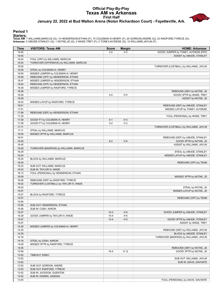### **Official Play-By-Play Texas AM vs Arkansas First Half January 22, 2022 at Bud Walton Arena (Nolan Richardson Court) - Fayetteville, Ark.**



#### **Period 1**

| Time           | <b>VISITORS: Texas AM</b>                | <b>Score</b>         | <b>Margin</b>         | <b>HOME: Arkansas</b>                                     |
|----------------|------------------------------------------|----------------------|-----------------------|-----------------------------------------------------------|
| 19:45          |                                          | $2 - 0$              | H <sub>2</sub>        | GOOD! JUMPER by TONEY, AU'DIESE [PNT]                     |
| 19:45          |                                          |                      |                       | ASSIST by UMUDE, STANLEY                                  |
| 19:24          | FOUL (OFF) by WILLIAMS, MARCUS           |                      |                       |                                                           |
| 19:24          | TURNOVER (OFFENSIVE) by WILLIAMS, MARCUS |                      |                       |                                                           |
| 19:05          |                                          |                      |                       | TURNOVER (LOSTBALL) by WILLIAMS, JAYLIN                   |
| 19:05          | STEAL by COLEMAN III, HENRY              |                      |                       |                                                           |
| 18:50          | MISSED JUMPER by COLEMAN III, HENRY      |                      |                       |                                                           |
| 18:48          | REBOUND (OFF) by HENDERSON, ETHAN        |                      |                       |                                                           |
| 18:47          | MISSED JUMPER by HENDERSON, ETHAN        |                      |                       |                                                           |
| 18:44          | REBOUND (OFF) by HENDERSON, ETHAN        |                      |                       |                                                           |
| 18:39<br>18:36 | MISSED JUMPER by RADFORD, TYRECE         |                      |                       |                                                           |
| 18:28          |                                          | $5-0$                | H <sub>5</sub>        | REBOUND (DEF) by NOTAE, JD<br>GOOD! 3PTR by WADE, TREY    |
| 18:28          |                                          |                      |                       | ASSIST by NOTAE, JD                                       |
| 18:03          | MISSED LAYUP by RADFORD, TYRECE          |                      |                       |                                                           |
| 18:01          |                                          |                      |                       | REBOUND (DEF) by UMUDE, STANLEY                           |
| 17:51          |                                          |                      |                       | MISSED LAYUP by TONEY, AU'DIESE                           |
| 17:48          | REBOUND (DEF) by HENDERSON, ETHAN        |                      |                       |                                                           |
| 17:29          |                                          |                      |                       | FOUL (PERSONAL) by WADE, TREY                             |
| 17:29          | GOOD! FT by COLEMAN III, HENRY           | $5 - 1$              | H4                    |                                                           |
| 17:29          | GOOD! FT by COLEMAN III, HENRY           | $5-2$                | $H_3$                 |                                                           |
| 17:11          |                                          |                      |                       | TURNOVER (LOSTBALL) by WILLIAMS, JAYLIN                   |
| 17:11          | STEAL by WILLIAMS, MARCUS                |                      |                       |                                                           |
| 16:55          | MISSED 3PTR by WILLIAMS, MARCUS          |                      |                       |                                                           |
| 16:51          |                                          |                      |                       | REBOUND (DEF) by UMUDE, STANLEY                           |
| 16:45          |                                          | $8-2$                | H <sub>6</sub>        | GOOD! 3PTR by NOTAE, JD                                   |
| 16:45          |                                          |                      |                       | ASSIST by WILLIAMS, JAYLIN                                |
| 16:29          | TURNOVER (BADPASS) by WILLIAMS, MARCUS   |                      |                       |                                                           |
| 16:29<br>16:24 |                                          |                      |                       | STEAL by UMUDE, STANLEY<br>MISSED LAYUP by UMUDE, STANLEY |
| 16:24          | BLOCK by WILLIAMS, MARCUS                |                      |                       |                                                           |
| 16:24          |                                          |                      |                       | REBOUND (OFF) by TEAM                                     |
| 16:23          | SUB OUT: WILLIAMS, MARCUS                |                      |                       |                                                           |
| 16:23          | SUB IN: TAYLOR IV, WADE                  |                      |                       |                                                           |
| 16:13          | FOUL (PERSONAL) by HENDERSON, ETHAN      |                      |                       |                                                           |
| 16:09          |                                          |                      |                       | MISSED 3PTR by NOTAE, JD                                  |
| 16:06          | REBOUND (DEF) by RADFORD, TYRECE         |                      |                       |                                                           |
| 16:02          | TURNOVER (LOSTBALL) by TAYLOR IV, WADE   |                      |                       |                                                           |
| 16:02          |                                          |                      |                       | STEAL by NOTAE, JD                                        |
| 15:57          |                                          |                      |                       | MISSED LAYUP by NOTAE, JD                                 |
| 15:57          | BLOCK by RADFORD, TYRECE                 |                      |                       |                                                           |
| 15:57          |                                          |                      |                       | REBOUND (OFF) by TEAM                                     |
| 15:56          |                                          |                      |                       |                                                           |
| 15:56          | SUB OUT: HENDERSON, ETHAN                |                      |                       |                                                           |
| 15:56          | SUB IN: CASH, AARON                      |                      |                       |                                                           |
| 15:47          |                                          | $10-2$               | H <sub>8</sub>        | GOOD! JUMPER by UMUDE, STANLEY                            |
| 15:28<br>15:07 | GOOD! JUMPER by TAYLOR IV, WADE          | $10 - 4$<br>$13 - 4$ | H <sub>6</sub><br>H 9 | GOOD! 3PTR by UMUDE, STANLEY                              |
| 15:07          |                                          |                      |                       | ASSIST by WADE, TREY                                      |
| 14:35          | MISSED JUMPER by COLEMAN III, HENRY      |                      |                       |                                                           |
| 14:35          |                                          |                      |                       | REBOUND (DEF) by WILLIAMS, JAYLIN                         |
| 14:35          |                                          |                      |                       | BLOCK by UMUDE, STANLEY                                   |
| 14:16          |                                          |                      |                       | TURNOVER (BADPASS) by WILLIAMS, JAYLIN                    |
| 14:16          | STEAL by CASH, AARON                     |                      |                       |                                                           |
| 14:09          | MISSED 3PTR by RADFORD, TYRECE           |                      |                       |                                                           |
| 14:05          |                                          |                      |                       | REBOUND (DEF) by NOTAE, JD                                |
| 13:56          |                                          | $16 - 4$             | H 12                  | GOOD! 3PTR by NOTAE, JD                                   |
| 13:52          | <b>TIMEOUT 30SEC</b>                     |                      |                       |                                                           |
| 13:52          |                                          |                      |                       | SUB OUT: WILLIAMS, JAYLIN                                 |
| 13:52          |                                          |                      |                       | SUB IN: DAVIS, DAVONTE                                    |
| 13:52          | SUB OUT: GORDON, ANDRE                   |                      |                       |                                                           |
| 13:52          | SUB OUT: RADFORD, TYRECE                 |                      |                       |                                                           |
| 13:52          | SUB IN: JACKSON, QUENTON                 |                      |                       |                                                           |
| 13:52          | SUB IN: DIARRA, HASSAN                   |                      |                       |                                                           |
| 13:45          |                                          |                      |                       | FOUL (PERSONAL) by DAVIS, DAVONTE                         |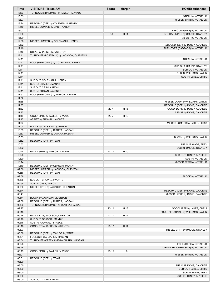| <b>Time</b>    | <b>VISITORS: Texas AM</b>                                              | <b>Score</b> | <b>Margin</b>  | <b>HOME: Arkansas</b>                                             |
|----------------|------------------------------------------------------------------------|--------------|----------------|-------------------------------------------------------------------|
| 13:33          | TURNOVER (BADPASS) by TAYLOR IV, WADE                                  |              |                |                                                                   |
| 13:33          |                                                                        |              |                | STEAL by NOTAE, JD                                                |
| 13:27          |                                                                        |              |                | MISSED 3PTR by NOTAE, JD                                          |
| 13:24<br>13:10 | REBOUND (DEF) by COLEMAN III, HENRY<br>MISSED JUMPER by CASH, AARON    |              |                |                                                                   |
| 13:07          |                                                                        |              |                | REBOUND (DEF) by NOTAE, JD                                        |
| 13:00          |                                                                        | $18-4$       | H 14           | GOOD! JUMPER by UMUDE, STANLEY                                    |
| 13:00          |                                                                        |              |                | ASSIST by NOTAE, JD                                               |
| 12:36          | MISSED JUMPER by COLEMAN III, HENRY                                    |              |                |                                                                   |
| 12:32          |                                                                        |              |                | REBOUND (DEF) by TONEY, AU'DIESE                                  |
| 12:16          |                                                                        |              |                | TURNOVER (BADPASS) by NOTAE, JD                                   |
| 12:16          | STEAL by JACKSON, QUENTON                                              |              |                |                                                                   |
| 12:11          | TURNOVER (LOSTBALL) by JACKSON, QUENTON                                |              |                |                                                                   |
| 12:11<br>12:11 | FOUL (PERSONAL) by COLEMAN III, HENRY                                  |              |                | STEAL by NOTAE, JD                                                |
| 12:11          |                                                                        |              |                | SUB OUT: UMUDE, STANLEY                                           |
| 12:11          |                                                                        |              |                | SUB OUT: NOTAE, JD                                                |
| 12:11          |                                                                        |              |                | SUB IN: WILLIAMS, JAYLIN                                          |
| 12:11          |                                                                        |              |                | SUB IN: LYKES, CHRIS                                              |
| 12:11          | SUB OUT: COLEMAN III, HENRY                                            |              |                |                                                                   |
| 12:11          | SUB IN: OBASEKI, MANNY                                                 |              |                |                                                                   |
| 12:11          | SUB OUT: CASH, AARON                                                   |              |                |                                                                   |
| 12:11<br>11:52 | SUB IN: BROWN, JAVONTE<br>FOUL (PERSONAL) by TAYLOR IV, WADE           |              |                |                                                                   |
| 11:52          |                                                                        |              |                |                                                                   |
| 11:38          |                                                                        |              |                | MISSED LAYUP by WILLIAMS, JAYLIN                                  |
| 11:35          |                                                                        |              |                | REBOUND (OFF) by DAVIS, DAVONTE                                   |
| 11:32          |                                                                        | $20 - 4$     | H 16           | GOOD! DUNK by TONEY, AU'DIESE                                     |
| 11:32          |                                                                        |              |                | ASSIST by DAVIS, DAVONTE                                          |
| 11:15          | GOOD! 3PTR by TAYLOR IV, WADE                                          | $20 - 7$     | H 13           |                                                                   |
| 11:15          | ASSIST by BROWN, JAVONTE                                               |              |                |                                                                   |
| 11:04<br>11:04 | BLOCK by JACKSON, QUENTON                                              |              |                | MISSED JUMPER by LYKES, CHRIS                                     |
| 10:59          | REBOUND (DEF) by DIARRA, HASSAN                                        |              |                |                                                                   |
| 10:53          | MISSED JUMPER by DIARRA, HASSAN                                        |              |                |                                                                   |
| 10:53          |                                                                        |              |                | BLOCK by WILLIAMS, JAYLIN                                         |
| 10:52          | REBOUND (OFF) by TEAM                                                  |              |                |                                                                   |
| 10:52          |                                                                        |              |                | SUB OUT: WADE, TREY                                               |
| 10:52          |                                                                        |              |                | SUB IN: UMUDE, STANLEY                                            |
| 10:44<br>10:20 | GOOD! 3PTR by TAYLOR IV, WADE                                          | $20 - 10$    | H 10           | SUB OUT: TONEY, AU'DIESE                                          |
| 10:20          |                                                                        |              |                | SUB IN: NOTAE, JD                                                 |
| 10:14          |                                                                        |              |                | MISSED 3PTR by NOTAE, JD                                          |
| 10:10          | REBOUND (DEF) by OBASEKI, MANNY                                        |              |                |                                                                   |
| 09:56          | MISSED JUMPER by JACKSON, QUENTON                                      |              |                |                                                                   |
| 09:56          | REBOUND (OFF) by TEAM                                                  |              |                |                                                                   |
| 09:56          |                                                                        |              |                | BLOCK by NOTAE, JD                                                |
| 09:55<br>09:55 | SUB OUT: BROWN, JAVONTE<br>SUB IN: CASH, AARON                         |              |                |                                                                   |
| 09:50          | MISSED 3PTR by JACKSON, QUENTON                                        |              |                |                                                                   |
| 09:44          |                                                                        |              |                | REBOUND (DEF) by DAVIS, DAVONTE                                   |
| 09:41          |                                                                        |              |                | MISSED LAYUP by DAVIS, DAVONTE                                    |
| 09:41          | BLOCK by JACKSON, QUENTON                                              |              |                |                                                                   |
| 09:38          | REBOUND (DEF) by DIARRA, HASSAN                                        |              |                |                                                                   |
| 09:36          | TURNOVER (BADPASS) by DIARRA, HASSAN                                   |              |                |                                                                   |
| 09:27<br>09:16 |                                                                        | $23-10$      | H 13           | GOOD! 3PTR by LYKES, CHRIS<br>FOUL (PERSONAL) by WILLIAMS, JAYLIN |
| 09:16          | GOOD! FT by JACKSON, QUENTON                                           | $23 - 11$    | H 12           |                                                                   |
| 09:16          | SUB OUT: OBASEKI, MANNY                                                |              |                |                                                                   |
| 09:16          | SUB IN: RADFORD, TYRECE                                                |              |                |                                                                   |
| 09:16          | GOOD! FT by JACKSON, QUENTON                                           | $23-12$      | H 11           |                                                                   |
| 09:03          |                                                                        |              |                | MISSED 3PTR by UMUDE, STANLEY                                     |
| 08:58          | REBOUND (DEF) by TAYLOR IV, WADE                                       |              |                |                                                                   |
| 08:54<br>08:54 | FOUL (OFF) by DIARRA, HASSAN<br>TURNOVER (OFFENSIVE) by DIARRA, HASSAN |              |                |                                                                   |
| 08:26          |                                                                        |              |                | FOUL (OFF) by NOTAE, JD                                           |
| 08:26          |                                                                        |              |                | TURNOVER (OFFENSIVE) by NOTAE, JD                                 |
| 08:19          | GOOD! 3PTR by TAYLOR IV, WADE                                          | $23 - 15$    | H <sub>8</sub> |                                                                   |
| 08:01          |                                                                        |              |                | MISSED 3PTR by NOTAE, JD                                          |
| 08:01          | REBOUND (DEF) by TEAM                                                  |              |                |                                                                   |
| 08:00          |                                                                        |              |                |                                                                   |
| 08:00          |                                                                        |              |                | SUB OUT: DAVIS, DAVONTE                                           |
| 08:00<br>08:00 |                                                                        |              |                | SUB OUT: LYKES, CHRIS<br>SUB IN: WADE, TREY                       |
| 08:00          |                                                                        |              |                | SUB IN: TONEY, AU'DIESE                                           |
| 08:00          | SUB OUT: CASH, AARON                                                   |              |                |                                                                   |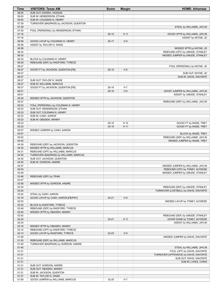| Time           | <b>VISITORS: Texas AM</b>                                   | <b>Score</b> | <b>Margin</b> | <b>HOME: Arkansas</b>                                                 |
|----------------|-------------------------------------------------------------|--------------|---------------|-----------------------------------------------------------------------|
| 08:00          | SUB OUT: DIARRA, HASSAN                                     |              |               |                                                                       |
| 08:00          | SUB IN: HENDERSON, ETHAN                                    |              |               |                                                                       |
| 08:00          | SUB IN: COLEMAN III, HENRY                                  |              |               |                                                                       |
| 07:39          | TURNOVER (BADPASS) by JACKSON, QUENTON                      |              |               |                                                                       |
| 07:39          |                                                             |              |               | STEAL by WILLIAMS, JAYLIN                                             |
| 07:30          | FOUL (PERSONAL) by HENDERSON, ETHAN                         |              |               |                                                                       |
| 07:16          |                                                             | $26 - 15$    | H 11          | GOOD! 3PTR by WILLIAMS, JAYLIN                                        |
| 07:16          |                                                             |              |               | ASSIST by NOTAE, JD                                                   |
| 06:58          | GOOD! LAYUP by COLEMAN III, HENRY                           | $26-17$      | H9            |                                                                       |
| 06:58<br>06:38 | ASSIST by TAYLOR IV, WADE                                   |              |               |                                                                       |
| 06:34          |                                                             |              |               | MISSED 3PTR by NOTAE, JD<br>REBOUND (OFF) by UMUDE, STANLEY           |
| 06:33          |                                                             |              |               | MISSED JUMPER by UMUDE, STANLEY                                       |
| 06:33          | BLOCK by COLEMAN III, HENRY                                 |              |               |                                                                       |
| 06:29          | REBOUND (DEF) by RADFORD, TYRECE                            |              |               |                                                                       |
| 06:27          |                                                             |              |               | FOUL (PERSONAL) by NOTAE, JD                                          |
| 06:27          | GOOD! FT by JACKSON, QUENTON [FB]                           | $26-18$      | H 8           |                                                                       |
| 06:27          |                                                             |              |               | SUB OUT: NOTAE, JD                                                    |
| 06:27          |                                                             |              |               | SUB IN: DAVIS, DAVONTE                                                |
| 06:27          | SUB OUT: TAYLOR IV, WADE                                    |              |               |                                                                       |
| 06:27          | SUB IN: WILLIAMS, MARCUS                                    |              |               |                                                                       |
| 06:27          | GOOD! FT by JACKSON, QUENTON [FB]                           | $26-19$      | H 7           |                                                                       |
| 06:01          |                                                             | 28-19        | H9            | GOOD! JUMPER by WILLIAMS, JAYLIN                                      |
| 06:01          |                                                             |              |               | ASSIST by UMUDE, STANLEY                                              |
| 05:34          | MISSED 3PTR by JACKSON, QUENTON                             |              |               |                                                                       |
| 05:27          |                                                             |              |               | REBOUND (DEF) by WILLIAMS, JAYLIN                                     |
| 05:23          | FOUL (PERSONAL) by COLEMAN III, HENRY                       |              |               |                                                                       |
| 05:23          | SUB OUT: HENDERSON, ETHAN                                   |              |               |                                                                       |
| 05:23          | SUB OUT: COLEMAN III, HENRY                                 |              |               |                                                                       |
| 05:23          | SUB IN: CASH, AARON                                         |              |               |                                                                       |
| 05:23          | SUB IN: OBASEKI, MANNY                                      |              |               |                                                                       |
| 05:23          |                                                             | 29-19        | H 10          | GOOD! FT by WADE, TREY                                                |
| 05:23          |                                                             | $30-19$      | H 11          | GOOD! FT by WADE, TREY                                                |
| 05:07          | MISSED JUMPER by CASH, AARON                                |              |               |                                                                       |
| 05:07          |                                                             |              |               | BLOCK by WADE, TREY                                                   |
| 05:02          |                                                             |              |               | REBOUND (DEF) by WILLIAMS, JAYLIN                                     |
| 04:42          |                                                             |              |               | MISSED JUMPER by WADE, TREY                                           |
| 04:39          | REBOUND (DEF) by JACKSON, QUENTON                           |              |               |                                                                       |
| 04:35          | MISSED 3PTR by WILLIAMS, MARCUS                             |              |               |                                                                       |
| 04:31          | REBOUND (OFF) by WILLIAMS, MARCUS                           |              |               |                                                                       |
| 04:30          | TURNOVER (BADPASS) by WILLIAMS, MARCUS                      |              |               |                                                                       |
| 04:30          | SUB OUT: JACKSON, QUENTON                                   |              |               |                                                                       |
| 04:30          | SUB IN: GORDON, ANDRE                                       |              |               |                                                                       |
| 04:07<br>04:03 |                                                             |              |               | MISSED JUMPER by WILLIAMS, JAYLIN<br>REBOUND (OFF) by TONEY, AU'DIESE |
| 03:49          |                                                             |              |               | MISSED JUMPER by UMUDE, STANLEY                                       |
| 03:48          | REBOUND (DEF) by TEAM                                       |              |               |                                                                       |
| 03:47          |                                                             |              |               |                                                                       |
| 03:36          | MISSED 3PTR by GORDON, ANDRE                                |              |               |                                                                       |
| 03:32          |                                                             |              |               | REBOUND (DEF) by UMUDE, STANLEY                                       |
| 03:24          |                                                             |              |               | TURNOVER (LOSTBALL) by DAVIS, DAVONTE                                 |
| 03:24          | STEAL by CASH, AARON                                        |              |               |                                                                       |
| 03:18          | GOOD! LAYUP by CASH, AARON [FB/PNT]                         | $30 - 21$    | H9            |                                                                       |
| 02:53          |                                                             |              |               | MISSED LAYUP by TONEY, AU'DIESE                                       |
| 02:53          | BLOCK by RADFORD, TYRECE                                    |              |               |                                                                       |
| 02:49          | REBOUND (DEF) by RADFORD, TYRECE                            |              |               |                                                                       |
| 02:45          | MISSED 3PTR by OBASEKI, MANNY                               |              |               |                                                                       |
| 02:42          |                                                             |              |               | REBOUND (DEF) by UMUDE, STANLEY                                       |
| 02:34          |                                                             | $32 - 21$    | H 11          | GOOD! DUNK by TONEY, AU'DIESE                                         |
| 02:34          |                                                             |              |               | ASSIST by WILLIAMS, JAYLIN                                            |
| 02:18          | MISSED 3PTR by OBASEKI, MANNY                               |              |               |                                                                       |
| 02:14          | REBOUND (OFF) by RADFORD, TYRECE                            |              |               |                                                                       |
| 02:13          | GOOD! LAYUP by RADFORD, TYRECE                              | $32 - 23$    | H9            |                                                                       |
| 01:56          |                                                             |              |               | MISSED JUMPER by DAVIS, DAVONTE                                       |
| 01:53          | REBOUND (DEF) by WILLIAMS, MARCUS                           |              |               |                                                                       |
| 01:45          | TURNOVER (BADPASS) by GORDON, ANDRE                         |              |               |                                                                       |
| 01:45          |                                                             |              |               | STEAL by WILLIAMS, JAYLIN                                             |
| 01:21          |                                                             |              |               | FOUL (OFF) by DAVIS, DAVONTE                                          |
| 01:21          |                                                             |              |               | TURNOVER (OFFENSIVE) by DAVIS, DAVONTE                                |
| 01:21          |                                                             |              |               | SUB OUT: DAVIS, DAVONTE                                               |
| 01:21          |                                                             |              |               | SUB IN: LYKES, CHRIS                                                  |
| 01:21          | SUB OUT: GORDON, ANDRE                                      |              |               |                                                                       |
| 01:21          | SUB OUT: OBASEKI, MANNY                                     |              |               |                                                                       |
| 01:21<br>01:21 | SUB IN: JACKSON, QUENTON                                    |              |               |                                                                       |
| 01:08          | SUB IN: TAYLOR IV, WADE<br>GOOD! JUMPER by WILLIAMS, MARCUS | 32-25        | H 7           |                                                                       |
|                |                                                             |              |               |                                                                       |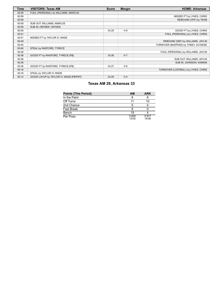| Time  | <b>VISITORS: Texas AM</b>               | <b>Score</b> | <b>Margin</b>  | <b>HOME: Arkansas</b>                 |
|-------|-----------------------------------------|--------------|----------------|---------------------------------------|
| 00:59 | FOUL (PERSONAL) by WILLIAMS, MARCUS     |              |                |                                       |
| 00:59 |                                         |              |                | MISSED FT by LYKES, CHRIS             |
| 00:59 |                                         |              |                | REBOUND (OFF) by TEAM                 |
| 00:59 | SUB OUT: WILLIAMS, MARCUS               |              |                |                                       |
| 00:59 | SUB IN: HEFNER, HAYDEN                  |              |                |                                       |
| 00:59 |                                         | $33 - 25$    | H 8            | GOOD! FT by LYKES, CHRIS              |
| 00:51 |                                         |              |                | FOUL (PERSONAL) by LYKES, CHRIS       |
| 00:51 | MISSED FT by TAYLOR IV, WADE            |              |                |                                       |
| 00:49 |                                         |              |                | REBOUND (DEF) by WILLIAMS, JAYLIN     |
| 00:40 |                                         |              |                | TURNOVER (BADPASS) by TONEY, AU'DIESE |
| 00:40 | STEAL by RADFORD, TYRECE                |              |                |                                       |
| 00:36 |                                         |              |                | FOUL (PERSONAL) by WILLIAMS, JAYLIN   |
| 00:36 | GOOD! FT by RADFORD, TYRECE [FB]        | $33 - 26$    | H <sub>7</sub> |                                       |
| 00:36 |                                         |              |                | SUB OUT: WILLIAMS, JAYLIN             |
| 00:36 |                                         |              |                | SUB IN: JOHNSON, KAMANI               |
| 00:36 | GOOD! FT by RADFORD, TYRECE [FB]        | $33 - 27$    | H 6            |                                       |
| 00:16 |                                         |              |                | TURNOVER (LOSTBALL) by LYKES, CHRIS   |
| 00:16 | STEAL by TAYLOR IV, WADE                |              |                |                                       |
| 00:12 | GOOD! LAYUP by TAYLOR IV, WADE [FB/PNT] | $33 - 29$    | H <sub>4</sub> |                                       |

# **Texas AM 29, Arkansas 33**

| <b>Points (This Period)</b> | АM             | <b>ARK</b>     |
|-----------------------------|----------------|----------------|
| In the Paint                |                |                |
| Off Turns                   |                | 10             |
| 2nd Chance                  | 5              |                |
| <b>Fast Break</b>           |                |                |
| Bench                       | 19             |                |
| Per Poss                    | 0.829<br>13/35 | 0.917<br>14/36 |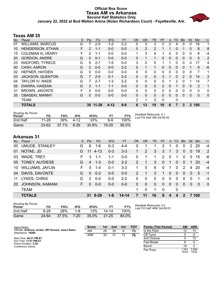### **Official Box Score Texas AM vs Arkansas Second Half Statistics Only January 22, 2022 at Bud Walton Arena (Nolan Richardson Court) - Fayetteville, Ark.**



# **Texas AM 35**

| No. | Plaver                    | S | <b>Pts</b> | FG.      | 3FG      | <b>FT</b> | <b>OR</b> | <b>DR</b> | TR             | <b>PF</b>      | A | TO | <b>Blk</b>   | Stl          | Min      | $+/-$ |
|-----|---------------------------|---|------------|----------|----------|-----------|-----------|-----------|----------------|----------------|---|----|--------------|--------------|----------|-------|
| 01  | <b>WILLIAMS, MARCUS</b>   | G |            | $2 - 5$  | $1-2$    | $2 - 2$   | 0         | 3         | 3              | 2              | 2 | 4  | $\Omega$     | 0            | 16       | 1     |
| 10  | HENDERSON, ETHAN          | F | 2          | $1 - 1$  | $0 - 0$  | $0 - 0$   | 0         | 2         | $\overline{2}$ |                |   | 0  |              | 0            | 8        | 8     |
| 15  | <b>COLEMAN III, HENRY</b> | F | 2          | $1 - 1$  | $0 - 0$  | $0 - 0$   |           | 3         | 4              | 1              | 0 | 0  | $\Omega$     | 0            | 8        | -4    |
| 20  | <b>GORDON, ANDRE</b>      | G | $\Omega$   | $0 - 1$  | $0 - 0$  | $0 - 0$   | 0         | 1         | 1              | $\Omega$       | 0 | 0  | $\mathbf{0}$ | 0            | 5        | 2     |
| 23  | RADFORD, TYRECE           | G | 5          | $2 - 7$  | $1 - 5$  | $0 - 0$   | 3         | 2         | 5              |                |   | 0  | 0            | $\Omega$     | 17       | 4     |
| 00  | CASH, AARON               | G | 2          | $0 - 0$  | $0 - 0$  | $2 - 2$   | 0         | 1         | 1              | 0              | 0 | 0  | $\Omega$     |              | 8        | $-6$  |
| 02  | HEFNER, HAYDEN            | G | 0          | $0 - 0$  | $0 - 0$  | $0 - 0$   | 0         | 0         | 0              | 0              | 0 | 0  | $\Omega$     | $\Omega$     | 7        | 1     |
| 03  | <b>JACKSON, QUENTON</b>   | G |            | $2 - 5$  | $0 - 1$  | $3 - 3$   | 0         | $\Omega$  | $\mathbf{0}$   | 3              |   | 0  | 2            | 0            | 14       | 3     |
| 04  | TAYLOR IV, WADE           | G | 7          | $2 - 7$  | $1 - 3$  | $2 - 2$   | 0         | 0         | $\Omega$       | 0              |   | 2  | 0            | 1            | 14       | 7     |
| 05  | DIARRA, HASSAN            | G | 3          | $1 - 1$  | $1 - 1$  | $0 - 0$   | 0         | $\Omega$  | $\mathbf{0}$   | $\overline{2}$ | 0 |    | $\mathbf{0}$ | $\Omega$     | 3        | 1     |
| 31  | <b>BROWN, JAVONTE</b>     | F | $\Omega$   | $0 - 0$  | $0 - 0$  | $0 - 0$   | 0         | 0         | $\Omega$       | 0              | 0 | 0  | 0            | $\Omega$     | 0        | 0     |
| 35  | <b>OBASEKI, MANNY</b>     | G | $\Omega$   | $0 - 0$  | $0 - 0$  | $0 - 0$   | 0         | $\Omega$  | $\mathbf{0}$   | 0              | 0 | 0  | $\Omega$     | $\mathbf{0}$ | $\Omega$ | 0     |
|     | TEAM                      |   |            |          |          |           | 2         | 1         | 3              | $\Omega$       |   | 0  |              |              |          |       |
|     | <b>TOTALS</b>             |   |            | 35 11-28 | $4 - 12$ | $9 - 9$   | 6         | 13        | 19             | 10             | 6 |    | 3            | $\mathbf{2}$ | 100      |       |

| <b>Shooting By Period</b><br>Period | FG        | FG%      | 3FG      | 3FG%  |           | FT%   | Deadball Rebounds: 0,1<br>Last FG Half: AM 3rd-00:42 |
|-------------------------------------|-----------|----------|----------|-------|-----------|-------|------------------------------------------------------|
| 2nd Half                            | $11 - 28$ | 39%      | 4-12     | 33%   | 9-9       | 100%  |                                                      |
| Game                                | $23 - 62$ | $37.1\%$ | $8 - 26$ | 30.8% | $19 - 20$ | 95.0% |                                                      |

# **Arkansas 31**

| No. | Player                  | S  | Pts           | <b>FG</b> | 3FG     | <b>FT</b> | OR       | <b>DR</b> | <b>TR</b>    | <b>PF</b>      | $\mathsf{A}$ | TO.      | <b>BIK</b>     | Stl                   | Min      | $+/-$          |
|-----|-------------------------|----|---------------|-----------|---------|-----------|----------|-----------|--------------|----------------|--------------|----------|----------------|-----------------------|----------|----------------|
| 00  | <b>UMUDE, STANLEY</b>   | G  | 6             | 1-6       | $0 - 3$ | 4-4       | 0        | 1         |              | 2              |              | 0        | 0              | $\mathbf{2}^{\prime}$ | 20       | $-4$           |
| 01  | NOTAE, JD               | G  | 11            | $4 - 13$  | $0 - 3$ | $3 - 3$   |          | 2         | 3            | 3              | 1            | 3        | $\Omega$       | $\overline{0}$        | 19       | 2              |
| 03  | <b>WADE, TREY</b>       | F. | 3             | 1-1       | 1-1     | $0 - 0$   | $\Omega$ | 1         |              | $\mathcal{P}$  | $\Omega$     | 1        | $\Omega$       | 0                     | 15       | -6             |
| 05  | TONEY, AU'DIESE         | G  | 4             | $1 - 3$   | $0 - 0$ | $2 - 2$   | 2        | 1         | 3            | $\overline{0}$ |              | 0        | $\overline{0}$ |                       | 20       | $-4$           |
| 10  | <b>WILLIAMS, JAYLIN</b> | F  | 5             | $1 - 4$   | $0 - 1$ | $3 - 3$   | 1        | 5         | 6            | $\Omega$       | 1            | $\Omega$ | $\overline{2}$ | 4                     | 20       | $-4$           |
| 04  | DAVIS, DAVONTE          | G  | $\Omega$      | $0 - 2$   | $0-0$   | $0 - 0$   | 2        | 1         | 3            | 1              | 0            | $\Omega$ | $\Omega$       | 0                     | 5        | $-1$           |
| 11  | LYKES, CHRIS            | G  | $\mathcal{P}$ | $0-0$     | $0-0$   | $2 - 2$   | 0        | 0         | $\Omega$     | $\Omega$       | 0            | 0        | $\Omega$       | 0                     | 1        | -3             |
| 20  | <b>JOHNSON, KAMANI</b>  | F. | $\Omega$      | $0 - 0$   | $0 - 0$ | $0 - 0$   | 0        | $\Omega$  | $\mathbf{0}$ | $\Omega$       | $\mathbf{0}$ | $\Omega$ | $\Omega$       | $\Omega$              | $\Omega$ | $\overline{0}$ |
|     | <b>TEAM</b>             |    |               |           |         |           | 1        | 0         | 1            | $\mathbf 0$    |              | 0        |                |                       |          |                |
|     | <b>TOTALS</b>           |    | 31.           | 8-29      | $1 - 8$ | $14 - 14$ | 7        | 11        | 18           | 8              | 4            | 4        | 2              |                       | 7 100    |                |
|     |                         |    |               |           |         |           |          |           |              |                |              |          |                |                       |          |                |

| <b>Shooting By Period</b><br>Period | FG    | FG%   | 3FG    | 3FG%  |           | FT%   |
|-------------------------------------|-------|-------|--------|-------|-----------|-------|
| 2nd Half                            | 8-29  | 28%   | 1-8    | 13%   | 14-14     | 100%  |
| Game                                | 24-64 | 37.5% | $7-20$ | 35.0% | $21 - 25$ | 84.0% |

*Deadball Rebounds:* 2,0 *Last FG Half:* ARK 3rd-00:01

| Game Notes:                                                             | <b>Score</b> | 1st | 2nd | 3rd | TOT | <b>Points (This Period)</b> | ΑM             | <b>ARK</b>     |
|-------------------------------------------------------------------------|--------------|-----|-----|-----|-----|-----------------------------|----------------|----------------|
| Officials: Anthony Jordan, Wil Howard, Jason Baker<br>Attendance: 19200 | AM           | 29  | 35  | 9   | 73  | In the Paint                |                | 14             |
|                                                                         | ARK          | 33  | 31  | 12  | 76  | Off Turns                   |                |                |
| Start Time: 08:31 PM ET                                                 |              |     |     |     |     | 2nd Chance                  |                | 13             |
| End Time: 11:01 PM ET<br>Game Duration: 2:29                            |              |     |     |     |     | Fast Break                  |                |                |
| Conference Game:                                                        |              |     |     |     |     | Bench                       | 19             |                |
|                                                                         |              |     |     |     |     | Per Poss                    | 1.061<br>16/33 | 0.969<br>15/32 |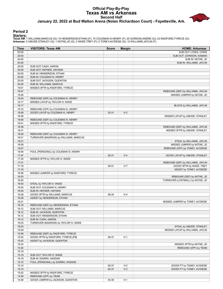#### **Official Play-By-Play Texas AM vs Arkansas Second Half January 22, 2022 at Bud Walton Arena (Nolan Richardson Court) - Fayetteville, Ark.**



#### **Period 2**

| Time           | <b>VISITORS: Texas AM</b>                                             | <b>Score</b> | <b>Margin</b>  | <b>HOME: Arkansas</b>                                       |
|----------------|-----------------------------------------------------------------------|--------------|----------------|-------------------------------------------------------------|
| 20:00          |                                                                       |              |                | SUB OUT: LYKES, CHRIS                                       |
| 20:00          |                                                                       |              |                | SUB OUT: JOHNSON, KAMANI                                    |
| 20:00          |                                                                       |              |                | SUB IN: NOTAE, JD                                           |
| 20:00          |                                                                       |              |                | SUB IN: WILLIAMS, JAYLIN                                    |
| 20:00          | SUB OUT: CASH, AARON                                                  |              |                |                                                             |
| 20:00          | SUB OUT: HEFNER, HAYDEN                                               |              |                |                                                             |
| 20:00          | SUB IN: HENDERSON, ETHAN                                              |              |                |                                                             |
| 20:00          | SUB IN: COLEMAN III, HENRY                                            |              |                |                                                             |
| 20:00          | SUB OUT: JACKSON, QUENTON                                             |              |                |                                                             |
| 20:00          | SUB IN: WILLIAMS, MARCUS                                              |              |                |                                                             |
| 19:51          | MISSED 3PTR by RADFORD, TYRECE                                        |              |                |                                                             |
| 19:47          |                                                                       |              |                | REBOUND (DEF) by WILLIAMS, JAYLIN                           |
| 19:26          |                                                                       |              |                | MISSED JUMPER by NOTAE, JD                                  |
| 19:24          | REBOUND (DEF) by COLEMAN III, HENRY                                   |              |                |                                                             |
| 19:17          | MISSED LAYUP by TAYLOR IV, WADE                                       |              |                |                                                             |
| 19:17          |                                                                       |              |                | BLOCK by WILLIAMS, JAYLIN                                   |
| 19:10          | REBOUND (OFF) by COLEMAN III, HENRY                                   |              |                |                                                             |
| 19:08          | GOOD! LAYUP by COLEMAN III, HENRY                                     | 33-31        | H <sub>2</sub> |                                                             |
| 18:48          |                                                                       |              |                | MISSED LAYUP by UMUDE, STANLEY                              |
| 18:46<br>18:41 | REBOUND (DEF) by COLEMAN III, HENRY<br>MISSED 3PTR by RADFORD, TYRECE |              |                |                                                             |
| 18:38          |                                                                       |              |                | REBOUND (DEF) by WILLIAMS, JAYLIN                           |
| 18:31          |                                                                       |              |                | MISSED 3PTR by UMUDE, STANLEY                               |
| 18:28          | REBOUND (DEF) by COLEMAN III, HENRY                                   |              |                |                                                             |
| 18:21          | TURNOVER (BADPASS) by WILLIAMS, MARCUS                                |              |                |                                                             |
| 18:21          |                                                                       |              |                | STEAL by WILLIAMS, JAYLIN                                   |
| 18:09          |                                                                       |              |                | MISSED JUMPER by NOTAE, JD                                  |
| 18:07          |                                                                       |              |                | REBOUND (OFF) by TONEY, AU'DIESE                            |
| 18:06          | FOUL (PERSONAL) by COLEMAN III, HENRY                                 |              |                |                                                             |
| 17:47          |                                                                       | 35-31        | H4             | GOOD! LAYUP by UMUDE, STANLEY                               |
| 17:35          | MISSED 3PTR by TAYLOR IV, WADE                                        |              |                |                                                             |
| 17:31          |                                                                       |              |                | REBOUND (DEF) by WILLIAMS, JAYLIN                           |
| 17:18          |                                                                       | 38-31        | H <sub>7</sub> | GOOD! 3PTR by WADE, TREY                                    |
| 17:18          |                                                                       |              |                | ASSIST by TONEY, AU'DIESE                                   |
| 16:56          | MISSED JUMPER by RADFORD, TYRECE                                      |              |                |                                                             |
| 16:53          |                                                                       |              |                | REBOUND (DEF) by NOTAE, JD                                  |
| 16:50          |                                                                       |              |                | TURNOVER (LOSTBALL) by NOTAE, JD                            |
| 16:50          | STEAL by TAYLOR IV, WADE                                              |              |                |                                                             |
| 16:50          | SUB OUT: COLEMAN III, HENRY                                           |              |                |                                                             |
| 16:50          | SUB IN: HEFNER, HAYDEN                                                |              |                |                                                             |
| 16:38          | GOOD! 3PTR by WILLIAMS, MARCUS                                        | 38-34        | H4             |                                                             |
| 16:38          | ASSIST by HENDERSON, ETHAN                                            |              |                |                                                             |
| 16:21          |                                                                       |              |                | MISSED JUMPER by TONEY, AU'DIESE                            |
| 16:18          | REBOUND (DEF) by HENDERSON, ETHAN                                     |              |                |                                                             |
| 16:12          | SUB OUT: WILLIAMS, MARCUS                                             |              |                |                                                             |
| 16:12          | SUB IN: JACKSON, QUENTON                                              |              |                |                                                             |
| 16:12          | SUB OUT: HENDERSON, ETHAN                                             |              |                |                                                             |
| 16:12          | SUB IN: CASH, AARON                                                   |              |                |                                                             |
| 16:03<br>16:03 | TURNOVER (BADPASS) by TAYLOR IV, WADE                                 |              |                |                                                             |
| 15:49          |                                                                       |              |                | STEAL by UMUDE, STANLEY<br>MISSED LAYUP by WILLIAMS, JAYLIN |
| 15:46          | REBOUND (DEF) by RADFORD, TYRECE                                      |              |                |                                                             |
| 15:42          | GOOD! 3PTR by RADFORD, TYRECE [FB]                                    | 38-37        | H 1            |                                                             |
| 15:42          | ASSIST by JACKSON, QUENTON                                            |              |                |                                                             |
| 15:24          |                                                                       |              |                | MISSED 3PTR by NOTAE, JD                                    |
| 15:20          |                                                                       |              |                | REBOUND (OFF) by TEAM                                       |
| 15:19          |                                                                       |              |                |                                                             |
| 15:19          | SUB OUT: TAYLOR IV, WADE                                              |              |                |                                                             |
| 15:19          | SUB IN: DIARRA, HASSAN                                                |              |                |                                                             |
| 15:15          | FOUL (PERSONAL) by DIARRA, HASSAN                                     |              |                |                                                             |
| 15:15          |                                                                       | 39-37        | H <sub>2</sub> | GOOD! FT by TONEY, AU'DIESE                                 |
| 15:15          |                                                                       | 40-37        | $H_3$          | GOOD! FT by TONEY, AU'DIESE                                 |
| 15:02          | MISSED 3PTR by RADFORD, TYRECE                                        |              |                |                                                             |
| 14:59          | REBOUND (OFF) by TEAM                                                 |              |                |                                                             |
| 14:48          | GOOD! JUMPER by JACKSON, QUENTON                                      | 40-39        | H <sub>1</sub> |                                                             |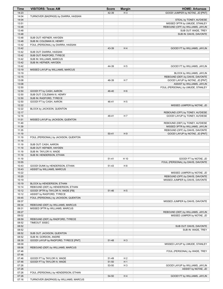| <b>Time</b>    | <b>VISITORS: Texas AM</b>                                       | <b>Score</b> | <b>Margin</b>  | <b>HOME: Arkansas</b>                                              |
|----------------|-----------------------------------------------------------------|--------------|----------------|--------------------------------------------------------------------|
| 14:23          |                                                                 | 42-39        | $H_3$          | GOOD! JUMPER by NOTAE, JD [PNT]                                    |
| 14:04          | TURNOVER (BADPASS) by DIARRA, HASSAN                            |              |                |                                                                    |
| 14:04          |                                                                 |              |                | STEAL by TONEY, AU'DIESE                                           |
| 13:51          |                                                                 |              |                | MISSED 3PTR by UMUDE, STANLEY                                      |
| 13:48<br>13:48 |                                                                 |              |                | REBOUND (OFF) by WILLIAMS, JAYLIN<br>SUB OUT: WADE, TREY           |
| 13:48          |                                                                 |              |                | SUB IN: DAVIS, DAVONTE                                             |
| 13:48          | SUB OUT: HEFNER, HAYDEN                                         |              |                |                                                                    |
| 13:48          | SUB IN: COLEMAN III, HENRY                                      |              |                |                                                                    |
| 13:42          | FOUL (PERSONAL) by DIARRA, HASSAN                               |              |                |                                                                    |
| 13:42          |                                                                 | 43-39        | H4             | GOOD! FT by WILLIAMS, JAYLIN                                       |
| 13:42          | SUB OUT: DIARRA, HASSAN                                         |              |                |                                                                    |
| 13:42          | SUB OUT: RADFORD, TYRECE                                        |              |                |                                                                    |
| 13:42          | SUB IN: WILLIAMS, MARCUS                                        |              |                |                                                                    |
| 13:42          | SUB IN: HEFNER, HAYDEN                                          |              |                |                                                                    |
| 13:42<br>13:19 |                                                                 | 44-39        | H <sub>5</sub> | GOOD! FT by WILLIAMS, JAYLIN                                       |
| 13:19          | MISSED LAYUP by WILLIAMS, MARCUS                                |              |                | BLOCK by WILLIAMS, JAYLIN                                          |
| 13:15          |                                                                 |              |                | REBOUND (DEF) by DAVIS, DAVONTE                                    |
| 13:08          |                                                                 | 46-39        | H 7            | GOOD! LAYUP by NOTAE, JD [PNT]                                     |
| 13:08          |                                                                 |              |                | ASSIST by WILLIAMS, JAYLIN                                         |
| 12:50          |                                                                 |              |                | FOUL (PERSONAL) by UMUDE, STANLEY                                  |
| 12:50          | GOOD! FT by CASH, AARON                                         | 46-40        | H <sub>6</sub> |                                                                    |
| 12:50          | SUB OUT: COLEMAN III, HENRY                                     |              |                |                                                                    |
| 12:50          | SUB IN: RADFORD, TYRECE                                         |              |                |                                                                    |
| 12:50          | GOOD! FT by CASH, AARON                                         | 46-41        | H <sub>5</sub> |                                                                    |
| 12:22          |                                                                 |              |                | MISSED JUMPER by NOTAE, JD                                         |
| 12:22<br>12:17 | BLOCK by JACKSON, QUENTON                                       |              |                |                                                                    |
| 12:16          |                                                                 | 48-41        | H 7            | REBOUND (OFF) by TONEY, AU'DIESE<br>GOOD! LAYUP by TONEY, AU'DIESE |
| 11:51          | MISSED LAYUP by JACKSON, QUENTON                                |              |                |                                                                    |
| 11:49          |                                                                 |              |                | REBOUND (DEF) by TONEY, AU'DIESE                                   |
| 11:39          |                                                                 |              |                | MISSED 3PTR by WILLIAMS, JAYLIN                                    |
| 11:35          |                                                                 |              |                | REBOUND (OFF) by DAVIS, DAVONTE                                    |
| 11:19          |                                                                 | $50 - 41$    | H9             | GOOD! LAYUP by NOTAE, JD [PNT]                                     |
| 11:19          | FOUL (PERSONAL) by JACKSON, QUENTON                             |              |                |                                                                    |
| 11:19          |                                                                 |              |                |                                                                    |
| 11:19          | SUB OUT: CASH, AARON                                            |              |                |                                                                    |
| 11:19<br>11:19 | SUB OUT: HEFNER, HAYDEN<br>SUB IN: TAYLOR IV, WADE              |              |                |                                                                    |
| 11:19          | SUB IN: HENDERSON, ETHAN                                        |              |                |                                                                    |
| 11:19          |                                                                 | $51 - 41$    | H 10           | GOOD! FT by NOTAE, JD                                              |
| 10:55          |                                                                 |              |                | FOUL (PERSONAL) by DAVIS, DAVONTE                                  |
| 10:43          | GOOD! DUNK by HENDERSON, ETHAN                                  | 51-43        | H 8            |                                                                    |
| 10:43          | ASSIST by WILLIAMS, MARCUS                                      |              |                |                                                                    |
| 10:22          |                                                                 |              |                | MISSED JUMPER by NOTAE, JD                                         |
| 10:20          |                                                                 |              |                | REBOUND (OFF) by DAVIS, DAVONTE                                    |
| 10:19          |                                                                 |              |                | MISSED JUMPER by DAVIS, DAVONTE                                    |
| 10:19          | BLOCK by HENDERSON, ETHAN                                       |              |                |                                                                    |
| 10:14<br>10:12 | REBOUND (DEF) by HENDERSON, ETHAN                               |              | H <sub>5</sub> |                                                                    |
| 10:12          | GOOD! 3PTR by TAYLOR IV, WADE [FB]<br>ASSIST by RADFORD, TYRECE | 51-46        |                |                                                                    |
| 09:45          | FOUL (PERSONAL) by JACKSON, QUENTON                             |              |                |                                                                    |
| 09:37          |                                                                 |              |                | MISSED JUMPER by DAVIS, DAVONTE                                    |
| 09:34          | REBOUND (DEF) by WILLIAMS, MARCUS                               |              |                |                                                                    |
| 09:31          | MISSED 3PTR by WILLIAMS, MARCUS                                 |              |                |                                                                    |
| 09:27          |                                                                 |              |                | REBOUND (DEF) by WILLIAMS, JAYLIN                                  |
| 09:02          |                                                                 |              |                | MISSED JUMPER by NOTAE, JD                                         |
| 08:59          | REBOUND (DEF) by RADFORD, TYRECE                                |              |                |                                                                    |
| 08:52          | TIMEOUT 30SEC                                                   |              |                |                                                                    |
| 08:52          |                                                                 |              |                | SUB OUT: DAVIS, DAVONTE                                            |
| 08:52<br>08:52 | SUB OUT: JACKSON, QUENTON                                       |              |                | SUB IN: WADE, TREY                                                 |
| 08:52          | SUB IN: GORDON, ANDRE                                           |              |                |                                                                    |
| 08:39          | GOOD! LAYUP by RADFORD, TYRECE [PNT]                            | 51-48        | $H_3$          |                                                                    |
| 08:09          |                                                                 |              |                | MISSED LAYUP by UMUDE, STANLEY                                     |
| 08:06          | REBOUND (DEF) by WILLIAMS, MARCUS                               |              |                |                                                                    |
| 07:46          |                                                                 |              |                | FOUL (PERSONAL) by WADE, TREY                                      |
| 07:46          |                                                                 |              |                |                                                                    |
| 07:46          | GOOD! FT by TAYLOR IV, WADE                                     | 51-49        | H <sub>2</sub> |                                                                    |
| 07:46          | GOOD! FT by TAYLOR IV, WADE                                     | 51-50        | H <sub>1</sub> |                                                                    |
| 07:26          |                                                                 | 53-50        | H <sub>3</sub> | GOOD! LAYUP by WILLIAMS, JAYLIN                                    |
| 07:26<br>07:26 | FOUL (PERSONAL) by HENDERSON, ETHAN                             |              |                | ASSIST by NOTAE, JD                                                |
| 07:26          |                                                                 | 54-50        | H4             | GOOD! FT by WILLIAMS, JAYLIN                                       |
| 07:16          | TURNOVER (BADPASS) by WILLIAMS, MARCUS                          |              |                |                                                                    |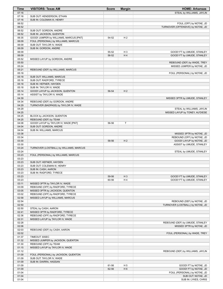| <b>Time</b>    | <b>VISITORS: Texas AM</b>                                                     | <b>Score</b> | <b>Margin</b>  | <b>HOME: Arkansas</b>                              |
|----------------|-------------------------------------------------------------------------------|--------------|----------------|----------------------------------------------------|
| 07:16          |                                                                               |              |                | STEAL by WILLIAMS, JAYLIN                          |
| 07:16          | SUB OUT: HENDERSON, ETHAN                                                     |              |                |                                                    |
| 07:16          | SUB IN: COLEMAN III, HENRY                                                    |              |                |                                                    |
| 06:52          |                                                                               |              |                | FOUL (OFF) by NOTAE, JD                            |
| 06:52          |                                                                               |              |                | TURNOVER (OFFENSIVE) by NOTAE, JD                  |
| 06:52          | SUB OUT: GORDON, ANDRE                                                        |              |                |                                                    |
| 06:52          | SUB IN: JACKSON, QUENTON                                                      |              |                |                                                    |
| 06:35<br>06:09 | GOOD! JUMPER by WILLIAMS, MARCUS [PNT]<br>FOUL (PERSONAL) by WILLIAMS, MARCUS | 54-52        | H <sub>2</sub> |                                                    |
| 06:09          | SUB OUT: TAYLOR IV, WADE                                                      |              |                |                                                    |
| 06:09          | SUB IN: GORDON, ANDRE                                                         |              |                |                                                    |
| 06:09          |                                                                               | 55-52        | $H_3$          | GOOD! FT by UMUDE, STANLEY                         |
| 06:09          |                                                                               | 56-52        | H4             | GOOD! FT by UMUDE, STANLEY                         |
| 05:52          | MISSED LAYUP by GORDON, ANDRE                                                 |              |                |                                                    |
| 05:50          |                                                                               |              |                | REBOUND (DEF) by WADE, TREY                        |
| 05:24          |                                                                               |              |                | MISSED JUMPER by NOTAE, JD                         |
| 05:21          | REBOUND (DEF) by WILLIAMS, MARCUS                                             |              |                |                                                    |
| 05:18          |                                                                               |              |                | FOUL (PERSONAL) by NOTAE, JD                       |
| 05:18          | SUB OUT: WILLIAMS, MARCUS                                                     |              |                |                                                    |
| 05:18          | SUB OUT: RADFORD, TYRECE                                                      |              |                |                                                    |
| 05:18          | SUB IN: HEFNER, HAYDEN                                                        |              |                |                                                    |
| 05:18<br>05:14 | SUB IN: TAYLOR IV, WADE<br>GOOD! LAYUP by JACKSON, QUENTON                    | 56-54        | H <sub>2</sub> |                                                    |
| 05:14          | ASSIST by TAYLOR IV, WADE                                                     |              |                |                                                    |
| 04:39          |                                                                               |              |                | MISSED 3PTR by UMUDE, STANLEY                      |
| 04:34          | REBOUND (DEF) by GORDON, ANDRE                                                |              |                |                                                    |
| 04:29          | TURNOVER (BADPASS) by TAYLOR IV, WADE                                         |              |                |                                                    |
| 04:29          |                                                                               |              |                | STEAL by WILLIAMS, JAYLIN                          |
| 04:25          |                                                                               |              |                | MISSED LAYUP by TONEY, AU'DIESE                    |
| 04:25          | BLOCK by JACKSON, QUENTON                                                     |              |                |                                                    |
| 04:25          | REBOUND (DEF) by TEAM                                                         |              |                |                                                    |
| 04:08          | GOOD! LAYUP by TAYLOR IV, WADE [PNT]                                          | 56-56        | $\top$         |                                                    |
| 04:04          | SUB OUT: GORDON, ANDRE                                                        |              |                |                                                    |
| 04:04          | SUB IN: WILLIAMS, MARCUS                                                      |              |                |                                                    |
| 03:38          |                                                                               |              |                | MISSED 3PTR by NOTAE, JD                           |
| 03:34          |                                                                               |              |                | REBOUND (OFF) by NOTAE, JD                         |
| 03:30          |                                                                               | 58-56        | H <sub>2</sub> | GOOD! LAYUP by NOTAE, JD                           |
| 03:30          | TURNOVER (LOSTBALL) by WILLIAMS, MARCUS                                       |              |                | ASSIST by UMUDE, STANLEY                           |
| 03:24<br>03:24 |                                                                               |              |                | STEAL by UMUDE, STANLEY                            |
| 03:23          | FOUL (PERSONAL) by WILLIAMS, MARCUS                                           |              |                |                                                    |
| 03:23          |                                                                               |              |                |                                                    |
| 03:23          | SUB OUT: HEFNER, HAYDEN                                                       |              |                |                                                    |
| 03:23          | SUB OUT: COLEMAN III, HENRY                                                   |              |                |                                                    |
| 03:23          | SUB IN: CASH, AARON                                                           |              |                |                                                    |
| 03:23          | SUB IN: RADFORD, TYRECE                                                       |              |                |                                                    |
| 03:23          |                                                                               | 59-56        | $H_3$          | GOOD! FT by UMUDE, STANLEY                         |
| 03:23          |                                                                               | 60-56        | H4             | GOOD! FT by UMUDE, STANLEY                         |
| 03:11          | MISSED 3PTR by TAYLOR IV, WADE                                                |              |                |                                                    |
| 03:09          | REBOUND (OFF) by RADFORD, TYRECE                                              |              |                |                                                    |
| 03:05          | MISSED 3PTR by JACKSON, QUENTON                                               |              |                |                                                    |
| 03:02          | REBOUND (OFF) by RADFORD, TYRECE                                              |              |                |                                                    |
| 02:58          | MISSED LAYUP by WILLIAMS, MARCUS                                              |              |                |                                                    |
| 02:54          |                                                                               |              |                | REBOUND (DEF) by NOTAE, JD                         |
| 02:50<br>02:50 | STEAL by CASH, AARON                                                          |              |                | TURNOVER (LOSTBALL) by NOTAE, JD                   |
| 02:41          | MISSED 3PTR by RADFORD, TYRECE                                                |              |                |                                                    |
| 02:36          | REBOUND (OFF) by RADFORD, TYRECE                                              |              |                |                                                    |
| 02:31          | MISSED LAYUP by TAYLOR IV, WADE                                               |              |                |                                                    |
| 02:28          |                                                                               |              |                | REBOUND (DEF) by UMUDE, STANLEY                    |
| 02:06          |                                                                               |              |                | MISSED 3PTR by NOTAE, JD                           |
| 02:03          | REBOUND (DEF) by CASH, AARON                                                  |              |                |                                                    |
| 02:02          |                                                                               |              |                | FOUL (PERSONAL) by WADE, TREY                      |
| 01:37          | TIMEOUT 30SEC                                                                 |              |                |                                                    |
| 01:32          | MISSED JUMPER by JACKSON, QUENTON                                             |              |                |                                                    |
| 01:30          | REBOUND (OFF) by TEAM                                                         |              |                |                                                    |
| 01:15          | MISSED LAYUP by TAYLOR IV, WADE                                               |              |                |                                                    |
| 01:12          |                                                                               |              |                | REBOUND (DEF) by WILLIAMS, JAYLIN                  |
| 01:09          | FOUL (PERSONAL) by JACKSON, QUENTON                                           |              |                |                                                    |
| 01:09          | SUB OUT: TAYLOR IV, WADE                                                      |              |                |                                                    |
| 01:09          | SUB IN: DIARRA, HASSAN                                                        |              |                |                                                    |
| 01:09          |                                                                               | 61-56        | H <sub>5</sub> | GOOD! FT by NOTAE, JD                              |
| 01:09          |                                                                               | 62-56        | H <sub>6</sub> | GOOD! FT by NOTAE, JD                              |
| 01:04<br>01:04 |                                                                               |              |                | FOUL (PERSONAL) by NOTAE, JD<br>SUB OUT: NOTAE, JD |
| 01:04          |                                                                               |              |                | SUB IN: LYKES, CHRIS                               |
|                |                                                                               |              |                |                                                    |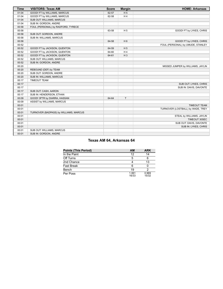| <b>Time</b> | <b>VISITORS: Texas AM</b>              | <b>Score</b> | <b>Margin</b>  | <b>HOME: Arkansas</b>             |
|-------------|----------------------------------------|--------------|----------------|-----------------------------------|
| 01:04       | GOOD! FT by WILLIAMS, MARCUS           | 62-57        | H <sub>5</sub> |                                   |
| 01:04       | GOOD! FT by WILLIAMS, MARCUS           | 62-58        | H4             |                                   |
| 01:04       | SUB OUT: WILLIAMS, MARCUS              |              |                |                                   |
| 01:04       | SUB IN: GORDON, ANDRE                  |              |                |                                   |
| 00:58       | FOUL (PERSONAL) by RADFORD, TYRECE     |              |                |                                   |
| 00:58       |                                        | 63-58        | H <sub>5</sub> | GOOD! FT by LYKES, CHRIS          |
| 00:58       | SUB OUT: GORDON, ANDRE                 |              |                |                                   |
| 00:58       | SUB IN: WILLIAMS, MARCUS               |              |                |                                   |
| 00:58       |                                        | 64-58        | H <sub>6</sub> | GOOD! FT by LYKES, CHRIS          |
| 00:52       |                                        |              |                | FOUL (PERSONAL) by UMUDE, STANLEY |
| 00:52       | GOOD! FT by JACKSON, QUENTON           | 64-59        | H <sub>5</sub> |                                   |
| 00:52       | GOOD! FT by JACKSON, QUENTON           | 64-60        | H4             |                                   |
| 00:52       | GOOD! FT by JACKSON, QUENTON           | 64-61        | $H_3$          |                                   |
| 00:52       | SUB OUT: WILLIAMS, MARCUS              |              |                |                                   |
| 00:52       | SUB IN: GORDON, ANDRE                  |              |                |                                   |
| 00:20       |                                        |              |                | MISSED JUMPER by WILLIAMS, JAYLIN |
| 00:20       | REBOUND (DEF) by TEAM                  |              |                |                                   |
| 00:20       | SUB OUT: GORDON, ANDRE                 |              |                |                                   |
| 00:20       | SUB IN: WILLIAMS, MARCUS               |              |                |                                   |
| 00:17       | <b>TIMEOUT TEAM</b>                    |              |                |                                   |
| 00:17       |                                        |              |                | SUB OUT: LYKES, CHRIS             |
| 00:17       |                                        |              |                | SUB IN: DAVIS, DAVONTE            |
| 00:17       | SUB OUT: CASH, AARON                   |              |                |                                   |
| 00:17       | SUB IN: HENDERSON, ETHAN               |              |                |                                   |
| 00:09       | GOOD! 3PTR by DIARRA, HASSAN           | 64-64        | T              |                                   |
| 00:09       | ASSIST by WILLIAMS, MARCUS             |              |                |                                   |
| 00:01       |                                        |              |                | <b>TIMEOUT TEAM</b>               |
| 00:01       |                                        |              |                | TURNOVER (LOSTBALL) by WADE, TREY |
| 00:01       | TURNOVER (BADPASS) by WILLIAMS, MARCUS |              |                |                                   |
| 00:01       |                                        |              |                | STEAL by WILLIAMS, JAYLIN         |
| 00:01       |                                        |              |                | TIMEOUT 30SEC                     |
| 00:01       |                                        |              |                | SUB OUT: DAVIS, DAVONTE           |
| 00:01       |                                        |              |                | SUB IN: LYKES, CHRIS              |
| 00:01       | SUB OUT: WILLIAMS, MARCUS              |              |                |                                   |
| 00:01       | SUB IN: GORDON, ANDRE                  |              |                |                                   |

# **Texas AM 64, Arkansas 64**

| <b>Points (This Period)</b> | <b>AM</b>      | <b>ARK</b>     |
|-----------------------------|----------------|----------------|
| In the Paint                | 12             | 14             |
| Off Turns                   |                |                |
| 2nd Chance                  |                |                |
| <b>Fast Break</b>           |                |                |
| Bench                       | 19             |                |
| Per Poss                    | 1.061<br>16/33 | 0.969<br>15/32 |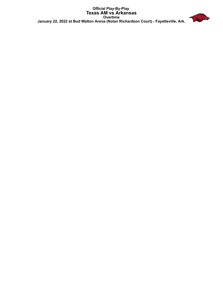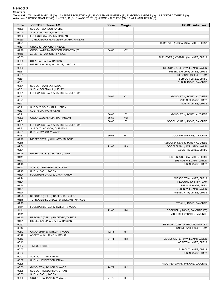| Time           | <b>VISITORS: Texas AM</b>                                   | <b>Score</b>   | <b>Margin</b>       | <b>HOME: Arkansas</b>               |
|----------------|-------------------------------------------------------------|----------------|---------------------|-------------------------------------|
| 05:00          | SUB OUT: GORDON, ANDRE                                      |                |                     |                                     |
| 05:00          | SUB IN: WILLIAMS, MARCUS                                    |                |                     |                                     |
| 04:50          | FOUL (OFF) by DIARRA, HASSAN                                |                |                     |                                     |
| 04:50          | TURNOVER (OFFENSIVE) by DIARRA, HASSAN                      |                |                     |                                     |
| 04:21          |                                                             |                |                     | TURNOVER (BADPASS) by LYKES, CHRIS  |
| 04:21          | STEAL by RADFORD, TYRECE                                    |                |                     |                                     |
| 04:16          | GOOD! LAYUP by JACKSON, QUENTON [FB]                        | 64-66          | V <sub>2</sub>      |                                     |
| 04:16          | ASSIST by RADFORD, TYRECE                                   |                |                     |                                     |
| 03:55<br>03:55 | STEAL by DIARRA, HASSAN                                     |                |                     | TURNOVER (LOSTBALL) by LYKES, CHRIS |
| 03:42          | MISSED LAYUP by WILLIAMS, MARCUS                            |                |                     |                                     |
| 03:39          |                                                             |                |                     | REBOUND (DEF) by WILLIAMS, JAYLIN   |
| 03:31          |                                                             |                |                     | MISSED LAYUP by LYKES, CHRIS        |
| 03:31          |                                                             |                |                     | REBOUND (OFF) by TEAM               |
| 03:31          |                                                             |                |                     | SUB OUT: LYKES, CHRIS               |
| 03:31          |                                                             |                |                     | SUB IN: DAVIS, DAVONTE              |
| 03:31          | SUB OUT: DIARRA, HASSAN                                     |                |                     |                                     |
| 03:31          | SUB IN: COLEMAN III, HENRY                                  |                |                     |                                     |
| 03:21          | FOUL (PERSONAL) by JACKSON, QUENTON                         |                |                     |                                     |
| 03:21          |                                                             | 65-66          | V <sub>1</sub>      | GOOD! FT by TONEY, AU'DIESE         |
| 03:21          |                                                             |                |                     | SUB OUT: WADE, TREY                 |
| 03:21          |                                                             |                |                     | SUB IN: LYKES, CHRIS                |
| 03:21          | SUB OUT: COLEMAN III, HENRY                                 |                |                     |                                     |
| 03:21          | SUB IN: DIARRA, HASSAN                                      |                |                     |                                     |
| 03:21<br>03:00 | GOOD! LAYUP by DIARRA, HASSAN                               | 66-66<br>66-68 | T<br>V <sub>2</sub> | GOOD! FT by TONEY, AU'DIESE         |
| 02:31          |                                                             | 68-68          | T                   | GOOD! LAYUP by DAVIS, DAVONTE       |
| 02:31          | FOUL (PERSONAL) by JACKSON, QUENTON                         |                |                     |                                     |
| 02:31          | SUB OUT: JACKSON, QUENTON                                   |                |                     |                                     |
| 02:31          | SUB IN: TAYLOR IV, WADE                                     |                |                     |                                     |
| 02:31          |                                                             | 69-68          | H <sub>1</sub>      | GOOD! FT by DAVIS, DAVONTE          |
| 02:19          | MISSED 3PTR by WILLIAMS, MARCUS                             |                |                     |                                     |
| 02:15          |                                                             |                |                     | REBOUND (DEF) by TONEY, AU'DIESE    |
| 02:04          |                                                             | 71-68          | $H_3$               | GOOD! DUNK by WILLIAMS, JAYLIN      |
| 02:04          |                                                             |                |                     | ASSIST by LYKES, CHRIS              |
| 01:49          | MISSED 3PTR by TAYLOR IV, WADE                              |                |                     |                                     |
| 01:44          |                                                             |                |                     | REBOUND (DEF) by LYKES, CHRIS       |
| 01:43          |                                                             |                |                     | SUB OUT: WILLIAMS, JAYLIN           |
| 01:43          |                                                             |                |                     | SUB IN: WADE, TREY                  |
| 01:43          | SUB OUT: HENDERSON, ETHAN                                   |                |                     |                                     |
| 01:43<br>01:24 | SUB IN: CASH, AARON<br>FOUL (PERSONAL) by CASH, AARON       |                |                     |                                     |
| 01:24          |                                                             |                |                     | MISSED FT by LYKES, CHRIS           |
| 01:24          |                                                             |                |                     | REBOUND (OFF) by TEAM               |
| 01:24          |                                                             |                |                     | SUB OUT: WADE, TREY                 |
| 01:24          |                                                             |                |                     | SUB IN: WILLIAMS, JAYLIN            |
| 01:24          |                                                             |                |                     | MISSED FT by LYKES, CHRIS           |
| 01:23          | REBOUND (DEF) by RADFORD, TYRECE                            |                |                     |                                     |
| 01:15          | TURNOVER (LOSTBALL) by WILLIAMS, MARCUS                     |                |                     |                                     |
| 01:15          |                                                             |                |                     | STEAL by DAVIS, DAVONTE             |
| 01:11          | FOUL (PERSONAL) by TAYLOR IV, WADE                          |                |                     |                                     |
| 01:11          |                                                             | 72-68          | H4                  | GOOD! FT by DAVIS, DAVONTE [FB]     |
| 01:11          |                                                             |                |                     | MISSED FT by DAVIS, DAVONTE         |
| 01:10          | REBOUND (DEF) by RADFORD, TYRECE                            |                |                     |                                     |
| 01:01          | MISSED LAYUP by DIARRA, HASSAN                              |                |                     |                                     |
| 00:57          |                                                             |                |                     | REBOUND (DEF) by UMUDE, STANLEY     |
| 00:47          |                                                             |                |                     | TURNOVER (10SEC) by TEAM            |
| 00:42<br>00:42 | GOOD! 3PTR by TAYLOR IV, WADE<br>ASSIST by WILLIAMS, MARCUS | 72-71          | H <sub>1</sub>      |                                     |
| 00:13          |                                                             | 74-71          | $H_3$               | GOOD! JUMPER by WILLIAMS, JAYLIN    |
| 00:13          |                                                             |                |                     | ASSIST by LYKES, CHRIS              |
| 00:07          | TIMEOUT 30SEC                                               |                |                     |                                     |
| 00:07          |                                                             |                |                     | SUB OUT: LYKES, CHRIS               |
| 00:07          |                                                             |                |                     | SUB IN: WADE, TREY                  |
| 00:07          | SUB OUT: CASH, AARON                                        |                |                     |                                     |
| 00:07          | SUB IN: HENDERSON, ETHAN                                    |                |                     |                                     |
| 00:05          |                                                             |                |                     | FOUL (PERSONAL) by DAVIS, DAVONTE   |
| 00:05          | GOOD! FT by TAYLOR IV, WADE                                 | 74-72          | H <sub>2</sub>      |                                     |
| 00:05          | SUB OUT: HENDERSON, ETHAN                                   |                |                     |                                     |
| 00:05          | SUB IN: CASH, AARON                                         |                |                     |                                     |
| 00:05          | GOOD! FT by TAYLOR IV, WADE                                 | 74-73          | H <sub>1</sub>      |                                     |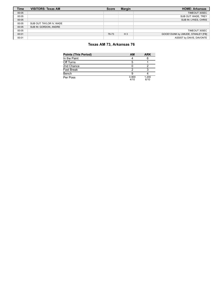| Time  | <b>VISITORS: Texas AM</b> | <b>Score</b> | <b>Margin</b> | <b>HOME: Arkansas</b>             |
|-------|---------------------------|--------------|---------------|-----------------------------------|
| 00:05 |                           |              |               | TIMEOUT 30SEC                     |
| 00:05 |                           |              |               | SUB OUT: WADE, TREY               |
| 00:05 |                           |              |               | SUB IN: LYKES, CHRIS              |
| 00:05 | SUB OUT: TAYLOR IV. WADE  |              |               |                                   |
| 00:05 | SUB IN: GORDON, ANDRE     |              |               |                                   |
| 00:05 |                           |              |               | TIMEOUT 30SEC                     |
| 00:01 |                           | 76-73        | $H_3$         | GOOD! DUNK by UMUDE, STANLEY [FB] |
| 00:01 |                           |              |               | ASSIST by DAVIS, DAVONTE          |

# **Texas AM 73, Arkansas 76**

| <b>Points (This Period)</b> | <b>AM</b>     | <b>ARK</b>    |
|-----------------------------|---------------|---------------|
| In the Paint                |               |               |
| Off Turns                   |               |               |
| 2nd Chance                  |               |               |
| <b>Fast Break</b>           |               |               |
| Bench                       |               |               |
| Per Poss                    | 0.900<br>4/10 | 1.200<br>6/10 |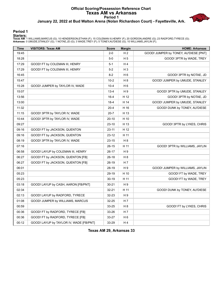### **Official Scoring/Possession Reference Chart Texas AM vs Arkansas Period 1 January 22, 2022 at Bud Walton Arena (Nolan Richardson Court) - Fayetteville, Ark.**



**Period 1**

<mark>Startersː</mark><br>Texas AM: 1 WILLIAMS,MARCUS (G); 10 HENDERSON,ETHAN (F); 15 COLEMAN III,HENRY (F); 20 GORDON,ANDRE (G); 23 RADFORD,TYRECE (G);<br>Arkansas: 0 UMUDE,STANLEY (G); 1 NOTAE,JD (G); 3 WADE,TREY (F); 5 TONEY,AU'DIESE (G

| <b>Time</b> | <b>VISITORS: Texas AM</b>               | <b>Score</b> | <b>Margin</b>  | <b>HOME: Arkansas</b>                 |
|-------------|-----------------------------------------|--------------|----------------|---------------------------------------|
| 19:45       |                                         | $2 - 0$      | H <sub>2</sub> | GOOD! JUMPER by TONEY, AU'DIESE [PNT] |
| 18:28       |                                         | $5-0$        | H <sub>5</sub> | GOOD! 3PTR by WADE, TREY              |
| 17:29       | GOOD! FT by COLEMAN III, HENRY          | $5 - 1$      | H4             |                                       |
| 17:29       | GOOD! FT by COLEMAN III, HENRY          | $5-2$        | H <sub>3</sub> |                                       |
| 16:45       |                                         | $8 - 2$      | H <sub>6</sub> | GOOD! 3PTR by NOTAE, JD               |
| 15:47       |                                         | $10-2$       | H8             | GOOD! JUMPER by UMUDE, STANLEY        |
| 15:28       | GOOD! JUMPER by TAYLOR IV, WADE         | $10 - 4$     | H 6            |                                       |
| 15:07       |                                         | $13 - 4$     | H9             | GOOD! 3PTR by UMUDE, STANLEY          |
| 13:56       |                                         | $16 - 4$     | H 12           | GOOD! 3PTR by NOTAE, JD               |
| 13:00       |                                         | $18-4$       | H 14           | GOOD! JUMPER by UMUDE, STANLEY        |
| 11:32       |                                         | $20 - 4$     | H 16           | GOOD! DUNK by TONEY, AU'DIESE         |
| 11:15       | GOOD! 3PTR by TAYLOR IV, WADE           | $20 - 7$     | H 13           |                                       |
| 10:44       | GOOD! 3PTR by TAYLOR IV, WADE           | $20 - 10$    | H 10           |                                       |
| 09:27       |                                         | $23 - 10$    | H 13           | GOOD! 3PTR by LYKES, CHRIS            |
| 09:16       | GOOD! FT by JACKSON, QUENTON            | $23 - 11$    | H 12           |                                       |
| 09:16       | GOOD! FT by JACKSON, QUENTON            | 23-12        | H 11           |                                       |
| 08:19       | GOOD! 3PTR by TAYLOR IV, WADE           | $23 - 15$    | H <sub>8</sub> |                                       |
| 07:16       |                                         | $26 - 15$    | H 11           | GOOD! 3PTR by WILLIAMS, JAYLIN        |
| 06:58       | GOOD! LAYUP by COLEMAN III, HENRY       | 26-17        | H 9            |                                       |
| 06:27       | GOOD! FT by JACKSON, QUENTON [FB]       | $26-18$      | H <sub>8</sub> |                                       |
| 06:27       | GOOD! FT by JACKSON, QUENTON [FB]       | 26-19        | H 7            |                                       |
| 06:01       |                                         | 28-19        | H9             | GOOD! JUMPER by WILLIAMS, JAYLIN      |
| 05:23       |                                         | 29-19        | H 10           | GOOD! FT by WADE, TREY                |
| 05:23       |                                         | $30 - 19$    | H 11           | GOOD! FT by WADE, TREY                |
| 03:18       | GOOD! LAYUP by CASH, AARON [FB/PNT]     | $30 - 21$    | H 9            |                                       |
| 02:34       |                                         | $32 - 21$    | H 11           | GOOD! DUNK by TONEY, AU'DIESE         |
| 02:13       | GOOD! LAYUP by RADFORD, TYRECE          | 32-23        | H 9            |                                       |
| 01:08       | GOOD! JUMPER by WILLIAMS, MARCUS        | 32-25        | H 7            |                                       |
| 00:59       |                                         | 33-25        | H 8            | GOOD! FT by LYKES, CHRIS              |
| 00:36       | GOOD! FT by RADFORD, TYRECE [FB]        | 33-26        | H 7            |                                       |
| 00:36       | GOOD! FT by RADFORD, TYRECE [FB]        | 33-27        | H <sub>6</sub> |                                       |
| 00:12       | GOOD! LAYUP by TAYLOR IV, WADE [FB/PNT] | 33-29        | H4             |                                       |

**Texas AM 29, Arkansas 33**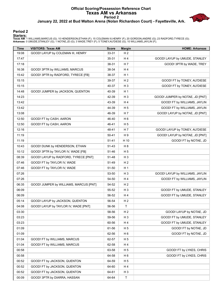#### **Official Scoring/Possession Reference Chart Texas AM vs Arkansas Period 2 January 22, 2022 at Bud Walton Arena (Nolan Richardson Court) - Fayetteville, Ark.**



**Period 2**

| <b>Time</b> | <b>VISITORS: Texas AM</b>              | <b>Score</b> | <b>Margin</b>  | <b>HOME: Arkansas</b>           |
|-------------|----------------------------------------|--------------|----------------|---------------------------------|
| 19:08       | GOOD! LAYUP by COLEMAN III, HENRY      | 33-31        | H <sub>2</sub> |                                 |
| 17:47       |                                        | 35-31        | H4             | GOOD! LAYUP by UMUDE, STANLEY   |
| 17:18       |                                        | 38-31        | H <sub>7</sub> | GOOD! 3PTR by WADE, TREY        |
| 16:38       | GOOD! 3PTR by WILLIAMS, MARCUS         | 38-34        | H4             |                                 |
| 15:42       | GOOD! 3PTR by RADFORD, TYRECE [FB]     | 38-37        | H <sub>1</sub> |                                 |
| 15:15       |                                        | 39-37        | H <sub>2</sub> | GOOD! FT by TONEY, AU'DIESE     |
| 15:15       |                                        | 40-37        | $H_3$          | GOOD! FT by TONEY, AU'DIESE     |
| 14:48       | GOOD! JUMPER by JACKSON, QUENTON       | 40-39        | H <sub>1</sub> |                                 |
| 14:23       |                                        | 42-39        | $H_3$          | GOOD! JUMPER by NOTAE, JD [PNT] |
| 13:42       |                                        | 43-39        | H4             | GOOD! FT by WILLIAMS, JAYLIN    |
| 13:42       |                                        | 44-39        | H <sub>5</sub> | GOOD! FT by WILLIAMS, JAYLIN    |
| 13:08       |                                        | 46-39        | H <sub>7</sub> | GOOD! LAYUP by NOTAE, JD [PNT]  |
| 12:50       | GOOD! FT by CASH, AARON                | 46-40        | H <sub>6</sub> |                                 |
| 12:50       | GOOD! FT by CASH, AARON                | 46-41        | H <sub>5</sub> |                                 |
| 12:16       |                                        | 48-41        | H 7            | GOOD! LAYUP by TONEY, AU'DIESE  |
| 11:19       |                                        | $50 - 41$    | H <sub>9</sub> | GOOD! LAYUP by NOTAE, JD [PNT]  |
| 11:19       |                                        | $51 - 41$    | H 10           | GOOD! FT by NOTAE, JD           |
| 10:43       | GOOD! DUNK by HENDERSON, ETHAN         | 51-43        | H <sub>8</sub> |                                 |
| 10:12       | GOOD! 3PTR by TAYLOR IV, WADE [FB]     | 51-46        | H <sub>5</sub> |                                 |
| 08:39       | GOOD! LAYUP by RADFORD, TYRECE [PNT]   | 51-48        | $H_3$          |                                 |
| 07:46       | GOOD! FT by TAYLOR IV, WADE            | 51-49        | H <sub>2</sub> |                                 |
| 07:46       | GOOD! FT by TAYLOR IV, WADE            | 51-50        | H <sub>1</sub> |                                 |
| 07:26       |                                        | 53-50        | $H_3$          | GOOD! LAYUP by WILLIAMS, JAYLIN |
| 07:26       |                                        | 54-50        | H4             | GOOD! FT by WILLIAMS, JAYLIN    |
| 06:35       | GOOD! JUMPER by WILLIAMS, MARCUS [PNT] | 54-52        | H <sub>2</sub> |                                 |
| 06:09       |                                        | 55-52        | $H_3$          | GOOD! FT by UMUDE, STANLEY      |
| 06:09       |                                        | 56-52        | H4             | GOOD! FT by UMUDE, STANLEY      |
| 05:14       | GOOD! LAYUP by JACKSON, QUENTON        | 56-54        | H <sub>2</sub> |                                 |
| 04:08       | GOOD! LAYUP by TAYLOR IV, WADE [PNT]   | 56-56        | T              |                                 |
| 03:30       |                                        | 58-56        | H <sub>2</sub> | GOOD! LAYUP by NOTAE, JD        |
| 03:23       |                                        | 59-56        | $H_3$          | GOOD! FT by UMUDE, STANLEY      |
| 03:23       |                                        | 60-56        | H 4            | GOOD! FT by UMUDE, STANLEY      |
| 01:09       |                                        | 61-56        | H <sub>5</sub> | GOOD! FT by NOTAE, JD           |
| 01:09       |                                        | 62-56        | H <sub>6</sub> | GOOD! FT by NOTAE, JD           |
| 01:04       | GOOD! FT by WILLIAMS, MARCUS           | 62-57        | H <sub>5</sub> |                                 |
| 01:04       | GOOD! FT by WILLIAMS, MARCUS           | 62-58        | H 4            |                                 |
| 00:58       |                                        | 63-58        | H <sub>5</sub> | GOOD! FT by LYKES, CHRIS        |
| 00:58       |                                        | 64-58        | H <sub>6</sub> | GOOD! FT by LYKES, CHRIS        |
| 00:52       | GOOD! FT by JACKSON, QUENTON           | 64-59        | H <sub>5</sub> |                                 |
| 00:52       | GOOD! FT by JACKSON, QUENTON           | 64-60        | H 4            |                                 |
| 00:52       | GOOD! FT by JACKSON, QUENTON           | 64-61        | H <sub>3</sub> |                                 |
| 00:09       | GOOD! 3PTR by DIARRA, HASSAN           | 64-64        | T              |                                 |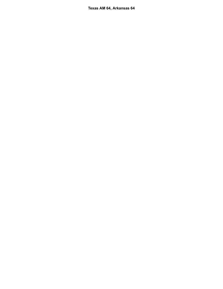**Texas AM 64, Arkansas 64**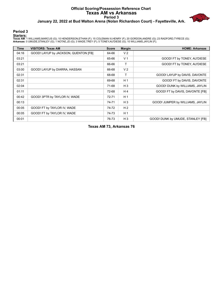### **Official Scoring/Possession Reference Chart Texas AM vs Arkansas Period 3 January 22, 2022 at Bud Walton Arena (Nolan Richardson Court) - Fayetteville, Ark.**



**Period 3**

<mark>Startersː</mark><br>Texas AM: 1 WILLIAMS,MARCUS (G); 10 HENDERSON,ETHAN (F); 15 COLEMAN III,HENRY (F); 20 GORDON,ANDRE (G); 23 RADFORD,TYRECE (G);<br>Arkansas: 0 UMUDE,STANLEY (G); 1 NOTAE,JD (G); 3 WADE,TREY (F); 5 TONEY,AU'DIESE (G

| Time  | <b>VISITORS: Texas AM</b>            | <b>Score</b> | <b>Margin</b>  | <b>HOME: Arkansas</b>             |
|-------|--------------------------------------|--------------|----------------|-----------------------------------|
| 04:16 | GOOD! LAYUP by JACKSON, QUENTON [FB] | 64-66        | V <sub>2</sub> |                                   |
| 03:21 |                                      | 65-66        | V <sub>1</sub> | GOOD! FT by TONEY, AU'DIESE       |
| 03:21 |                                      | 66-66        | т              | GOOD! FT by TONEY, AU'DIESE       |
| 03:00 | GOOD! LAYUP by DIARRA, HASSAN        | 66-68        | V <sub>2</sub> |                                   |
| 02:31 |                                      | 68-68        | $\mathsf{T}$   | GOOD! LAYUP by DAVIS, DAVONTE     |
| 02:31 |                                      | 69-68        | H <sub>1</sub> | GOOD! FT by DAVIS, DAVONTE        |
| 02:04 |                                      | 71-68        | $H_3$          | GOOD! DUNK by WILLIAMS, JAYLIN    |
| 01:11 |                                      | 72-68        | H <sub>4</sub> | GOOD! FT by DAVIS, DAVONTE [FB]   |
| 00:42 | GOOD! 3PTR by TAYLOR IV, WADE        | $72 - 71$    | H <sub>1</sub> |                                   |
| 00:13 |                                      | 74-71        | $H_3$          | GOOD! JUMPER by WILLIAMS, JAYLIN  |
| 00:05 | GOOD! FT by TAYLOR IV, WADE          | 74-72        | H <sub>2</sub> |                                   |
| 00:05 | GOOD! FT by TAYLOR IV, WADE          | 74-73        | H <sub>1</sub> |                                   |
| 00:01 |                                      | 76-73        | $H_3$          | GOOD! DUNK by UMUDE, STANLEY [FB] |

**Texas AM 73, Arkansas 76**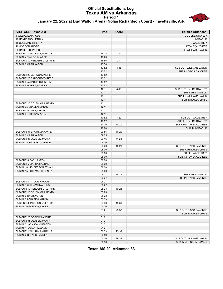#### **Official Substitutions Log Texas AM vs Arkansas Period 1 January 22, 2022 at Bud Walton Arena (Nolan Richardson Court) - Fayetteville, Ark.**



| <b>VISITORS: Texas AM</b>      | <b>Time</b> | <b>Score</b> | <b>HOME: Arkansas</b>     |
|--------------------------------|-------------|--------------|---------------------------|
| 1 WILLIAMS, MARCUS             |             |              | 0 UMUDE.STANLEY           |
| 10 HENDERSON, ETHAN            |             |              | 1 NOTAE, JD               |
| 15 COLEMAN III, HENRY          |             |              | 3 WADE, TREY              |
| 20 GORDON, ANDRE               |             |              | 5 TONEY, AU'DIESE         |
| 23 RADFORD, TYRECE             |             |              | 10 WILLIAMS, JAYLIN       |
| SUB OUT: 1 WILLIAMS, MARCUS    | 16:23       | $2 - 8$      |                           |
| SUB IN: 4 TAYLOR IV, WADE      | 16:23       |              |                           |
| SUB OUT: 10 HENDERSON, ETHAN   | 15:56       | $2 - 8$      |                           |
| SUB IN: 0 CASH, AARON          | 15:56       |              |                           |
|                                | 13:52       | $4 - 16$     | SUB OUT: WILLIAMS, JAYLIN |
|                                | 13:52       |              | SUB IN: DAVIS, DAVONTE    |
| SUB OUT: 20 GORDON, ANDRE      | 13:52       |              |                           |
| SUB OUT: 23 RADFORD, TYRECE    | 13:52       |              |                           |
| SUB IN: 3 JACKSON, QUENTON     | 13:52       |              |                           |
| SUB IN: 5 DIARRA, HASSAN       | 13:52       |              |                           |
|                                | 12:11       | $4 - 18$     | SUB OUT: UMUDE, STANLEY   |
|                                | 12:11       |              | SUB OUT: NOTAE, JD        |
|                                | 12:11       |              | SUB IN: WILLIAMS, JAYLIN  |
|                                | 12:11       |              | SUB IN: LYKES, CHRIS      |
| SUB OUT: 15 COLEMAN III, HENRY | 12:11       |              |                           |
| SUB IN: 35 OBASEKI, MANNY      | 12:11       |              |                           |
| SUB OUT: 0 CASH, AARON         | 12:11       |              |                           |
| SUB IN: 31 BROWN, JAVONTE      | 12:11       |              |                           |
|                                | 10:52       | $7 - 20$     | SUB OUT: WADE, TREY       |
|                                | 10:52       |              | SUB IN: UMUDE, STANLEY    |
|                                | 10:20       | $10 - 20$    | SUB OUT: TONEY, AU'DIESE  |
|                                | 10:20       |              | SUB IN: NOTAE, JD         |
| SUB OUT: 31 BROWN, JAVONTE     | 09:55       | $10 - 20$    |                           |
| SUB IN: 0 CASH, AARON          | 09:55       |              |                           |
| SUB OUT: 35 OBASEKI, MANNY     | 09:16       | $11 - 23$    |                           |
| SUB IN: 23 RADFORD, TYRECE     | 09:16       |              |                           |
|                                | 08:00       | $15 - 23$    | SUB OUT: DAVIS, DAVONTE   |
|                                | 08:00       |              | SUB OUT: LYKES, CHRIS     |
|                                | 08:00       |              | SUB IN: WADE, TREY        |
|                                | 08:00       |              | SUB IN: TONEY, AU'DIESE   |
| SUB OUT: 0 CASH, AARON         | 08:00       |              |                           |
| SUB OUT: 5 DIARRA, HASSAN      | 08:00       |              |                           |
| SUB IN: 10 HENDERSON, ETHAN    | 08:00       |              |                           |
| SUB IN: 15 COLEMAN III, HENRY  | 08:00       |              |                           |
|                                | 06:27       | 18-26        | SUB OUT: NOTAE, JD        |
|                                | 06:27       |              | SUB IN: DAVIS, DAVONTE    |
| SUB OUT: 4 TAYLOR IV, WADE     | 06:27       |              |                           |
| SUB IN: 1 WILLIAMS, MARCUS     | 06:27       |              |                           |
| SUB OUT: 10 HENDERSON, ETHAN   | 05:23       | 19-28        |                           |
| SUB OUT: 15 COLEMAN III, HENRY | 05:23       |              |                           |
| SUB IN: 0 CASH, AARON          | 05:23       |              |                           |
| SUB IN: 35 OBASEKI, MANNY      | 05:23       |              |                           |
| SUB OUT: 3 JACKSON, QUENTON    | 04:30       | 19-30        |                           |
| SUB IN: 20 GORDON, ANDRE       | 04:30       |              |                           |
|                                | 01:21       | 23-32        | SUB OUT: DAVIS, DAVONTE   |
|                                | 01:21       |              | SUB IN: LYKES, CHRIS      |
| SUB OUT: 20 GORDON, ANDRE      | 01:21       |              |                           |
| SUB OUT: 35 OBASEKI, MANNY     | 01:21       |              |                           |
| SUB IN: 3 JACKSON, QUENTON     | 01:21       |              |                           |
| SUB IN: 4 TAYLOR IV, WADE      | 01:21       |              |                           |
| SUB OUT: 1 WILLIAMS, MARCUS    | 00:59       | 25-32        |                           |
| SUB IN: 2 HEFNER, HAYDEN       | 00:59       |              |                           |
|                                | 00:36       | 26-33        | SUB OUT: WILLIAMS, JAYLIN |
|                                | 00:36       |              | SUB IN: JOHNSON, KAMANI   |
|                                |             |              |                           |

**Texas AM 29, Arkansas 33**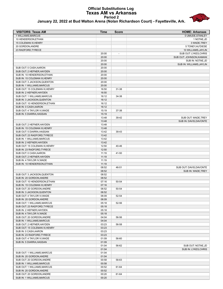#### **Official Substitutions Log Texas AM vs Arkansas Period 2 January 22, 2022 at Bud Walton Arena (Nolan Richardson Court) - Fayetteville, Ark.**



| <b>VISITORS: Texas AM</b>                                  | <b>Time</b>    | <b>Score</b>             | <b>HOME: Arkansas</b>    |
|------------------------------------------------------------|----------------|--------------------------|--------------------------|
| 1 WILLIAMS, MARCUS                                         |                |                          | 0 UMUDE, STANLEY         |
| 10 HENDERSON, ETHAN                                        |                |                          | 1 NOTAE, JD              |
| 15 COLEMAN III, HENRY                                      |                |                          | 3 WADE, TREY             |
| 20 GORDON, ANDRE                                           |                |                          | 5 TONEY, AU'DIESE        |
| 23 RADFORD, TYRECE                                         |                |                          | 10 WILLIAMS, JAYLIN      |
|                                                            | 20:00          | $\overline{\phantom{a}}$ | SUB OUT: LYKES, CHRIS    |
|                                                            | 20:00          |                          | SUB OUT: JOHNSON, KAMANI |
|                                                            | 20:00          |                          | SUB IN: NOTAE, JD        |
|                                                            | 20:00          |                          | SUB IN: WILLIAMS, JAYLIN |
| SUB OUT: 0 CASH, AARON                                     | 20:00          |                          |                          |
| SUB OUT: 2 HEFNER.HAYDEN                                   | 20:00          |                          |                          |
| SUB IN: 10 HENDERSON, ETHAN                                | 20:00          |                          |                          |
| SUB IN: 15 COLEMAN III, HENRY                              | 20:00          |                          |                          |
| SUB OUT: 3 JACKSON, QUENTON                                | 20:00          |                          |                          |
| SUB IN: 1 WILLIAMS, MARCUS                                 | 20:00<br>16:50 | 31-38                    |                          |
| SUB OUT: 15 COLEMAN III, HENRY<br>SUB IN: 2 HEFNER, HAYDEN | 16:50          |                          |                          |
| SUB OUT: 1 WILLIAMS, MARCUS                                | 16:12          | 34-38                    |                          |
| SUB IN: 3 JACKSON, QUENTON                                 | 16:12          |                          |                          |
| SUB OUT: 10 HENDERSON, ETHAN                               | 16:12          |                          |                          |
| SUB IN: 0 CASH, AARON                                      | 16:12          |                          |                          |
| SUB OUT: 4 TAYLOR IV, WADE                                 | 15:19          | 37-38                    |                          |
| SUB IN: 5 DIARRA, HASSAN                                   | 15:19          |                          |                          |
|                                                            | 13:48          | 39-42                    | SUB OUT: WADE, TREY      |
|                                                            | 13:48          |                          | SUB IN: DAVIS, DAVONTE   |
| SUB OUT: 2 HEFNER, HAYDEN                                  | 13:48          |                          |                          |
| SUB IN: 15 COLEMAN III, HENRY                              | 13:48          |                          |                          |
| SUB OUT: 5 DIARRA, HASSAN                                  | 13:42          | 39-43                    |                          |
| SUB OUT: 23 RADFORD, TYRECE                                | 13:42          |                          |                          |
| SUB IN: 1 WILLIAMS, MARCUS                                 | 13:42          |                          |                          |
| SUB IN: 2 HEFNER, HAYDEN                                   | 13:42          |                          |                          |
| SUB OUT: 15 COLEMAN III, HENRY                             | 12:50          | 40-46                    |                          |
| SUB IN: 23 RADFORD, TYRECE                                 | 12:50          | 41-50                    |                          |
| SUB OUT: 0 CASH, AARON<br>SUB OUT: 2 HEFNER, HAYDEN        | 11:19<br>11:19 |                          |                          |
| SUB IN: 4 TAYLOR IV, WADE                                  | 11:19          |                          |                          |
| SUB IN: 10 HENDERSON, ETHAN                                | 11:19          |                          |                          |
|                                                            | 08:52          | 46-51                    | SUB OUT: DAVIS, DAVONTE  |
|                                                            | 08:52          |                          | SUB IN: WADE, TREY       |
| SUB OUT: 3 JACKSON, QUENTON                                | 08:52          |                          |                          |
| SUB IN: 20 GORDON, ANDRE                                   | 08:52          |                          |                          |
| SUB OUT: 10 HENDERSON, ETHAN                               | 07:16          | 50-54                    |                          |
| SUB IN: 15 COLEMAN III, HENRY                              | 07:16          |                          |                          |
| SUB OUT: 20 GORDON, ANDRE                                  | 06:52          | 50-54                    |                          |
| SUB IN: 3 JACKSON, QUENTON                                 | 06:52          |                          |                          |
| SUB OUT: 4 TAYLOR IV, WADE                                 | 06:09          | 52-54                    |                          |
| SUB IN: 20 GORDON, ANDRE                                   | 06:09          |                          |                          |
| SUB OUT: 1 WILLIAMS, MARCUS                                | 05:18          | 52-56                    |                          |
| SUB OUT: 23 RADFORD, TYRECE                                | 05:18          |                          |                          |
| SUB IN: 2 HEFNER, HAYDEN                                   | 05:18<br>05:18 |                          |                          |
| SUB IN: 4 TAYLOR IV, WADE<br>SUB OUT: 20 GORDON, ANDRE     | 04:04          | 56-56                    |                          |
| SUB IN: 1 WILLIAMS, MARCUS                                 | 04:04          |                          |                          |
| SUB OUT: 2 HEFNER, HAYDEN                                  | 03:23          | 56-58                    |                          |
| SUB OUT: 15 COLEMAN III, HENRY                             | 03:23          |                          |                          |
| SUB IN: 0 CASH, AARON                                      | 03:23          |                          |                          |
| SUB IN: 23 RADFORD, TYRECE                                 | 03:23          |                          |                          |
| SUB OUT: 4 TAYLOR IV, WADE                                 | 01:09          | 56-60                    |                          |
| SUB IN: 5 DIARRA, HASSAN                                   | 01:09          |                          |                          |
|                                                            | 01:04          | 56-62                    | SUB OUT: NOTAE, JD       |
|                                                            | 01:04          |                          | SUB IN: LYKES, CHRIS     |
| SUB OUT: 1 WILLIAMS, MARCUS                                | 01:04          |                          |                          |
| SUB IN: 20 GORDON, ANDRE                                   | 01:04          |                          |                          |
| SUB OUT: 20 GORDON, ANDRE                                  | 00:58          | 58-63                    |                          |
| SUB IN: 1 WILLIAMS, MARCUS                                 | 00:58          |                          |                          |
| SUB OUT: 1 WILLIAMS, MARCUS                                | 00:52          | 61-64                    |                          |
| SUB IN: 20 GORDON, ANDRE<br>SUB OUT: 20 GORDON, ANDRE      | 00:52<br>00:20 | 61-64                    |                          |
| SUB IN: 1 WILLIAMS, MARCUS                                 | 00:20          |                          |                          |
|                                                            |                |                          |                          |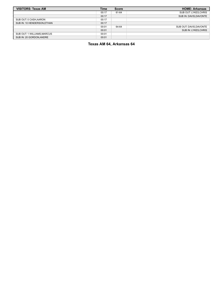| <b>VISITORS: Texas AM</b>   | Time  | <b>Score</b> | <b>HOME: Arkansas</b>   |
|-----------------------------|-------|--------------|-------------------------|
|                             | 00:17 | 61-64        | SUB OUT: LYKES, CHRIS   |
|                             | 00:17 |              | SUB IN: DAVIS, DAVONTE  |
| SUB OUT: 0 CASH, AARON      | 00:17 |              |                         |
| SUB IN: 10 HENDERSON.ETHAN  | 00:17 |              |                         |
|                             | 00:01 | 64-64        | SUB OUT: DAVIS, DAVONTE |
|                             | 00:01 |              | SUB IN: LYKES, CHRIS    |
| SUB OUT: 1 WILLIAMS, MARCUS | 00:01 |              |                         |
| SUB IN: 20 GORDON, ANDRE    | 00:01 |              |                         |

# **Texas AM 64, Arkansas 64**